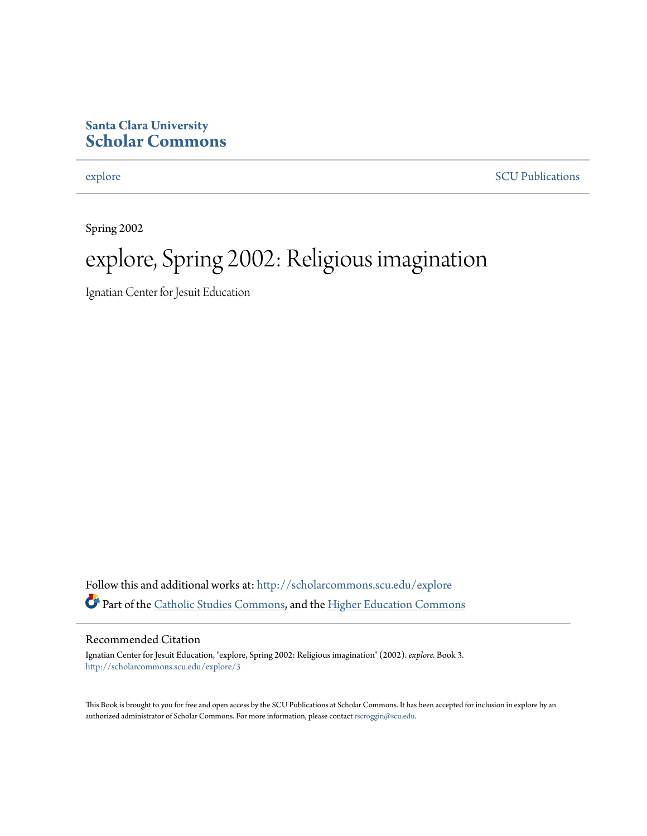# **Santa Clara University [Scholar Commons](http://scholarcommons.scu.edu?utm_source=scholarcommons.scu.edu%2Fexplore%2F3&utm_medium=PDF&utm_campaign=PDFCoverPages)**

[explore](http://scholarcommons.scu.edu/explore?utm_source=scholarcommons.scu.edu%2Fexplore%2F3&utm_medium=PDF&utm_campaign=PDFCoverPages) [SCU Publications](http://scholarcommons.scu.edu/scu_pubs?utm_source=scholarcommons.scu.edu%2Fexplore%2F3&utm_medium=PDF&utm_campaign=PDFCoverPages)

Spring 2002

# explore, Spring 2002: Religious imagination

Ignatian Center for Jesuit Education

Follow this and additional works at: [http://scholarcommons.scu.edu/explore](http://scholarcommons.scu.edu/explore?utm_source=scholarcommons.scu.edu%2Fexplore%2F3&utm_medium=PDF&utm_campaign=PDFCoverPages) Part of the [Catholic Studies Commons,](http://network.bepress.com/hgg/discipline/1294?utm_source=scholarcommons.scu.edu%2Fexplore%2F3&utm_medium=PDF&utm_campaign=PDFCoverPages) and the [Higher Education Commons](http://network.bepress.com/hgg/discipline/1245?utm_source=scholarcommons.scu.edu%2Fexplore%2F3&utm_medium=PDF&utm_campaign=PDFCoverPages)

#### Recommended Citation

Ignatian Center for Jesuit Education, "explore, Spring 2002: Religious imagination" (2002). *explore.* Book 3. [http://scholarcommons.scu.edu/explore/3](http://scholarcommons.scu.edu/explore/3?utm_source=scholarcommons.scu.edu%2Fexplore%2F3&utm_medium=PDF&utm_campaign=PDFCoverPages)

This Book is brought to you for free and open access by the SCU Publications at Scholar Commons. It has been accepted for inclusion in explore by an authorized administrator of Scholar Commons. For more information, please contact [rscroggin@scu.edu.](mailto:rscroggin@scu.edu)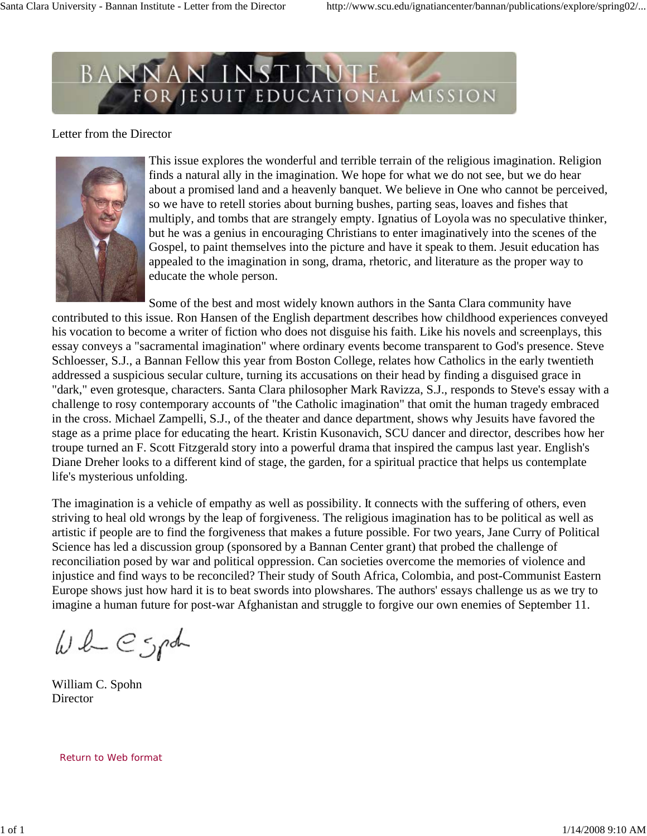

#### Letter from the Director



This issue explores the wonderful and terrible terrain of the religious imagination. Religion finds a natural ally in the imagination. We hope for what we do not see, but we do hear about a promised land and a heavenly banquet. We believe in One who cannot be perceived, so we have to retell stories about burning bushes, parting seas, loaves and fishes that multiply, and tombs that are strangely empty. Ignatius of Loyola was no speculative thinker, but he was a genius in encouraging Christians to enter imaginatively into the scenes of the Gospel, to paint themselves into the picture and have it speak to them. Jesuit education has appealed to the imagination in song, drama, rhetoric, and literature as the proper way to educate the whole person.

Some of the best and most widely known authors in the Santa Clara community have contributed to this issue. Ron Hansen of the English department describes how childhood experiences conveyed his vocation to become a writer of fiction who does not disguise his faith. Like his novels and screenplays, this essay conveys a "sacramental imagination" where ordinary events become transparent to God's presence. Steve Schloesser, S.J., a Bannan Fellow this year from Boston College, relates how Catholics in the early twentieth addressed a suspicious secular culture, turning its accusations on their head by finding a disguised grace in "dark," even grotesque, characters. Santa Clara philosopher Mark Ravizza, S.J., responds to Steve's essay with a challenge to rosy contemporary accounts of "the Catholic imagination" that omit the human tragedy embraced in the cross. Michael Zampelli, S.J., of the theater and dance department, shows why Jesuits have favored the stage as a prime place for educating the heart. Kristin Kusonavich, SCU dancer and director, describes how her troupe turned an F. Scott Fitzgerald story into a powerful drama that inspired the campus last year. English's Diane Dreher looks to a different kind of stage, the garden, for a spiritual practice that helps us contemplate life's mysterious unfolding.

The imagination is a vehicle of empathy as well as possibility. It connects with the suffering of others, even striving to heal old wrongs by the leap of forgiveness. The religious imagination has to be political as well as artistic if people are to find the forgiveness that makes a future possible. For two years, Jane Curry of Political Science has led a discussion group (sponsored by a Bannan Center grant) that probed the challenge of reconciliation posed by war and political oppression. Can societies overcome the memories of violence and injustice and find ways to be reconciled? Their study of South Africa, Colombia, and post-Communist Eastern Europe shows just how hard it is to beat swords into plowshares. The authors' essays challenge us as we try to imagine a human future for post-war Afghanistan and struggle to forgive our own enemies of September 11.

 $W & \in$  Spok

William C. Spohn **Director**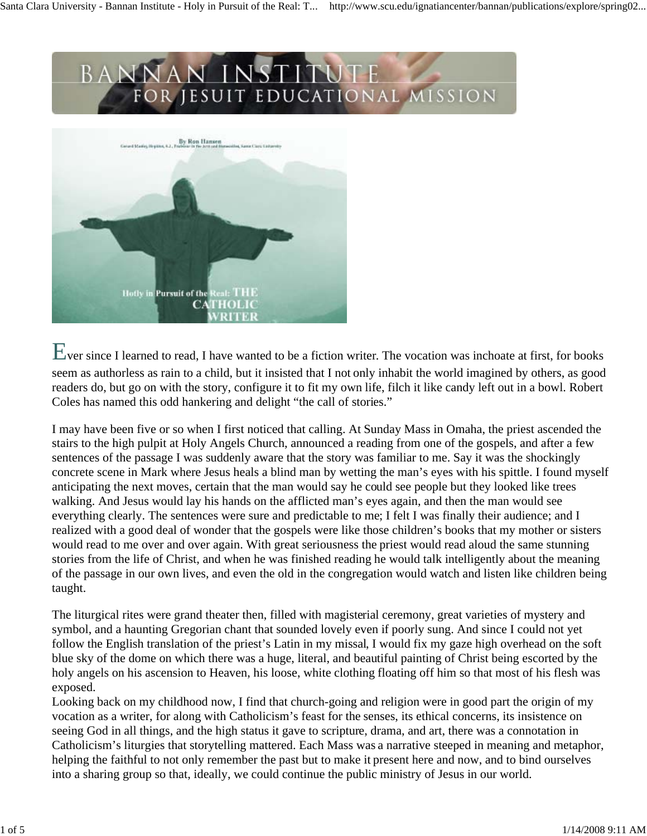

 $E$ ver since I learned to read, I have wanted to be a fiction writer. The vocation was inchoate at first, for books seem as authorless as rain to a child, but it insisted that I not only inhabit the world imagined by others, as good readers do, but go on with the story, configure it to fit my own life, filch it like candy left out in a bowl. Robert Coles has named this odd hankering and delight "the call of stories."

I may have been five or so when I first noticed that calling. At Sunday Mass in Omaha, the priest ascended the stairs to the high pulpit at Holy Angels Church, announced a reading from one of the gospels, and after a few sentences of the passage I was suddenly aware that the story was familiar to me. Say it was the shockingly concrete scene in Mark where Jesus heals a blind man by wetting the man's eyes with his spittle. I found myself anticipating the next moves, certain that the man would say he could see people but they looked like trees walking. And Jesus would lay his hands on the afflicted man's eyes again, and then the man would see everything clearly. The sentences were sure and predictable to me; I felt I was finally their audience; and I realized with a good deal of wonder that the gospels were like those children's books that my mother or sisters would read to me over and over again. With great seriousness the priest would read aloud the same stunning stories from the life of Christ, and when he was finished reading he would talk intelligently about the meaning of the passage in our own lives, and even the old in the congregation would watch and listen like children being taught.

The liturgical rites were grand theater then, filled with magisterial ceremony, great varieties of mystery and symbol, and a haunting Gregorian chant that sounded lovely even if poorly sung. And since I could not yet follow the English translation of the priest's Latin in my missal, I would fix my gaze high overhead on the soft blue sky of the dome on which there was a huge, literal, and beautiful painting of Christ being escorted by the holy angels on his ascension to Heaven, his loose, white clothing floating off him so that most of his flesh was exposed.

Looking back on my childhood now, I find that church-going and religion were in good part the origin of my vocation as a writer, for along with Catholicism's feast for the senses, its ethical concerns, its insistence on seeing God in all things, and the high status it gave to scripture, drama, and art, there was a connotation in Catholicism's liturgies that storytelling mattered. Each Mass was a narrative steeped in meaning and metaphor, helping the faithful to not only remember the past but to make it present here and now, and to bind ourselves into a sharing group so that, ideally, we could continue the public ministry of Jesus in our world.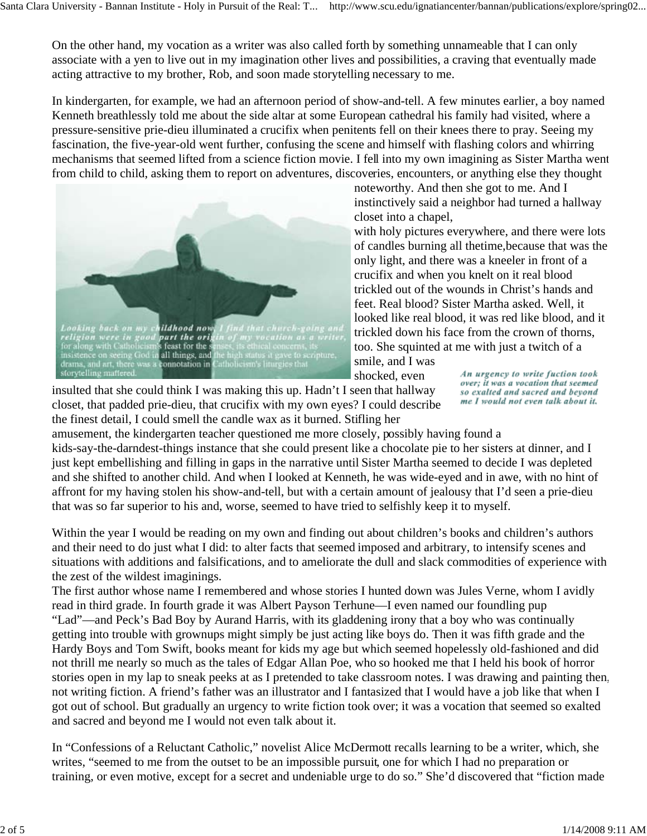On the other hand, my vocation as a writer was also called forth by something unnameable that I can only associate with a yen to live out in my imagination other lives and possibilities, a craving that eventually made acting attractive to my brother, Rob, and soon made storytelling necessary to me.

In kindergarten, for example, we had an afternoon period of show-and-tell. A few minutes earlier, a boy named Kenneth breathlessly told me about the side altar at some European cathedral his family had visited, where a pressure-sensitive prie-dieu illuminated a crucifix when penitents fell on their knees there to pray. Seeing my fascination, the five-year-old went further, confusing the scene and himself with flashing colors and whirring mechanisms that seemed lifted from a science fiction movie. I fell into my own imagining as Sister Martha went from child to child, asking them to report on adventures, discoveries, encounters, or anything else they thought



noteworthy. And then she got to me. And I instinctively said a neighbor had turned a hallway closet into a chapel,

with holy pictures everywhere, and there were lots of candles burning all thetime,because that was the only light, and there was a kneeler in front of a crucifix and when you knelt on it real blood trickled out of the wounds in Christ's hands and feet. Real blood? Sister Martha asked. Well, it looked like real blood, it was red like blood, and it trickled down his face from the crown of thorns, too. She squinted at me with just a twitch of a

smile, and I was shocked, even

insulted that she could think I was making this up. Hadn't I seen that hallway closet, that padded prie-dieu, that crucifix with my own eyes? I could describe the finest detail, I could smell the candle wax as it burned. Stifling her

An urgency to write fuction took over; it was a vocation that seemed so exalted and sacred and beyond me I would not even talk about it.

amusement, the kindergarten teacher questioned me more closely, possibly having found a kids-say-the-darndest-things instance that she could present like a chocolate pie to her sisters at dinner, and I just kept embellishing and filling in gaps in the narrative until Sister Martha seemed to decide I was depleted and she shifted to another child. And when I looked at Kenneth, he was wide-eyed and in awe, with no hint of affront for my having stolen his show-and-tell, but with a certain amount of jealousy that I'd seen a prie-dieu that was so far superior to his and, worse, seemed to have tried to selfishly keep it to myself.

Within the year I would be reading on my own and finding out about children's books and children's authors and their need to do just what I did: to alter facts that seemed imposed and arbitrary, to intensify scenes and situations with additions and falsifications, and to ameliorate the dull and slack commodities of experience with the zest of the wildest imaginings.

The first author whose name I remembered and whose stories I hunted down was Jules Verne, whom I avidly read in third grade. In fourth grade it was Albert Payson Terhune—I even named our foundling pup "Lad"—and Peck's Bad Boy by Aurand Harris, with its gladdening irony that a boy who was continually getting into trouble with grownups might simply be just acting like boys do. Then it was fifth grade and the Hardy Boys and Tom Swift, books meant for kids my age but which seemed hopelessly old-fashioned and did not thrill me nearly so much as the tales of Edgar Allan Poe, who so hooked me that I held his book of horror stories open in my lap to sneak peeks at as I pretended to take classroom notes. I was drawing and painting then, not writing fiction. A friend's father was an illustrator and I fantasized that I would have a job like that when I got out of school. But gradually an urgency to write fiction took over; it was a vocation that seemed so exalted and sacred and beyond me I would not even talk about it.

In "Confessions of a Reluctant Catholic," novelist Alice McDermott recalls learning to be a writer, which, she writes, "seemed to me from the outset to be an impossible pursuit, one for which I had no preparation or training, or even motive, except for a secret and undeniable urge to do so." She'd discovered that "fiction made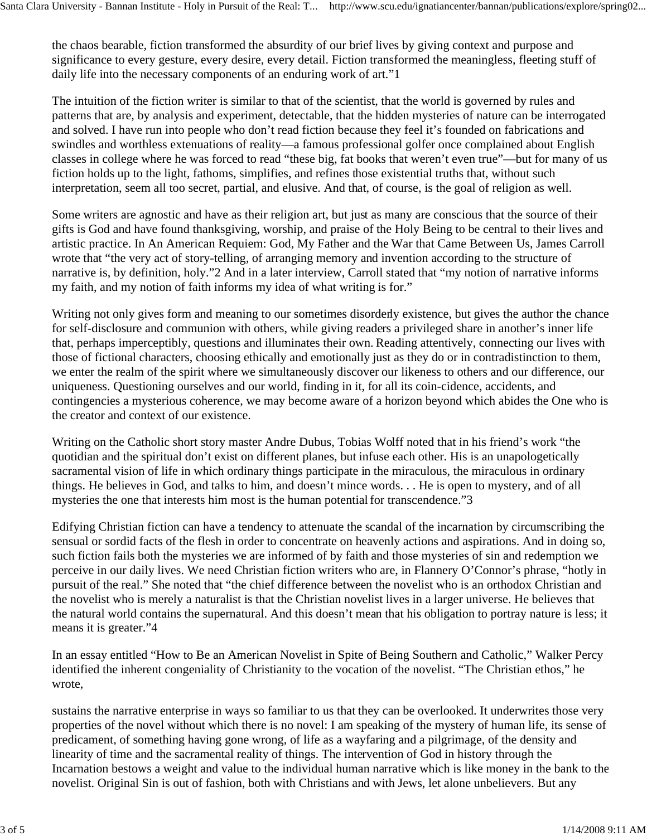the chaos bearable, fiction transformed the absurdity of our brief lives by giving context and purpose and significance to every gesture, every desire, every detail. Fiction transformed the meaningless, fleeting stuff of daily life into the necessary components of an enduring work of art."1

The intuition of the fiction writer is similar to that of the scientist, that the world is governed by rules and patterns that are, by analysis and experiment, detectable, that the hidden mysteries of nature can be interrogated and solved. I have run into people who don't read fiction because they feel it's founded on fabrications and swindles and worthless extenuations of reality—a famous professional golfer once complained about English classes in college where he was forced to read "these big, fat books that weren't even true"—but for many of us fiction holds up to the light, fathoms, simplifies, and refines those existential truths that, without such interpretation, seem all too secret, partial, and elusive. And that, of course, is the goal of religion as well.

Some writers are agnostic and have as their religion art, but just as many are conscious that the source of their gifts is God and have found thanksgiving, worship, and praise of the Holy Being to be central to their lives and artistic practice. In An American Requiem: God, My Father and the War that Came Between Us, James Carroll wrote that "the very act of story-telling, of arranging memory and invention according to the structure of narrative is, by definition, holy."2 And in a later interview, Carroll stated that "my notion of narrative informs my faith, and my notion of faith informs my idea of what writing is for."

Writing not only gives form and meaning to our sometimes disorderly existence, but gives the author the chance for self-disclosure and communion with others, while giving readers a privileged share in another's inner life that, perhaps imperceptibly, questions and illuminates their own. Reading attentively, connecting our lives with those of fictional characters, choosing ethically and emotionally just as they do or in contradistinction to them, we enter the realm of the spirit where we simultaneously discover our likeness to others and our difference, our uniqueness. Questioning ourselves and our world, finding in it, for all its coin-cidence, accidents, and contingencies a mysterious coherence, we may become aware of a horizon beyond which abides the One who is the creator and context of our existence.

Writing on the Catholic short story master Andre Dubus, Tobias Wolff noted that in his friend's work "the quotidian and the spiritual don't exist on different planes, but infuse each other. His is an unapologetically sacramental vision of life in which ordinary things participate in the miraculous, the miraculous in ordinary things. He believes in God, and talks to him, and doesn't mince words. . . He is open to mystery, and of all mysteries the one that interests him most is the human potential for transcendence."3

Edifying Christian fiction can have a tendency to attenuate the scandal of the incarnation by circumscribing the sensual or sordid facts of the flesh in order to concentrate on heavenly actions and aspirations. And in doing so, such fiction fails both the mysteries we are informed of by faith and those mysteries of sin and redemption we perceive in our daily lives. We need Christian fiction writers who are, in Flannery O'Connor's phrase, "hotly in pursuit of the real." She noted that "the chief difference between the novelist who is an orthodox Christian and the novelist who is merely a naturalist is that the Christian novelist lives in a larger universe. He believes that the natural world contains the supernatural. And this doesn't mean that his obligation to portray nature is less; it means it is greater."4

In an essay entitled "How to Be an American Novelist in Spite of Being Southern and Catholic," Walker Percy identified the inherent congeniality of Christianity to the vocation of the novelist. "The Christian ethos," he wrote,

sustains the narrative enterprise in ways so familiar to us that they can be overlooked. It underwrites those very properties of the novel without which there is no novel: I am speaking of the mystery of human life, its sense of predicament, of something having gone wrong, of life as a wayfaring and a pilgrimage, of the density and linearity of time and the sacramental reality of things. The intervention of God in history through the Incarnation bestows a weight and value to the individual human narrative which is like money in the bank to the novelist. Original Sin is out of fashion, both with Christians and with Jews, let alone unbelievers. But any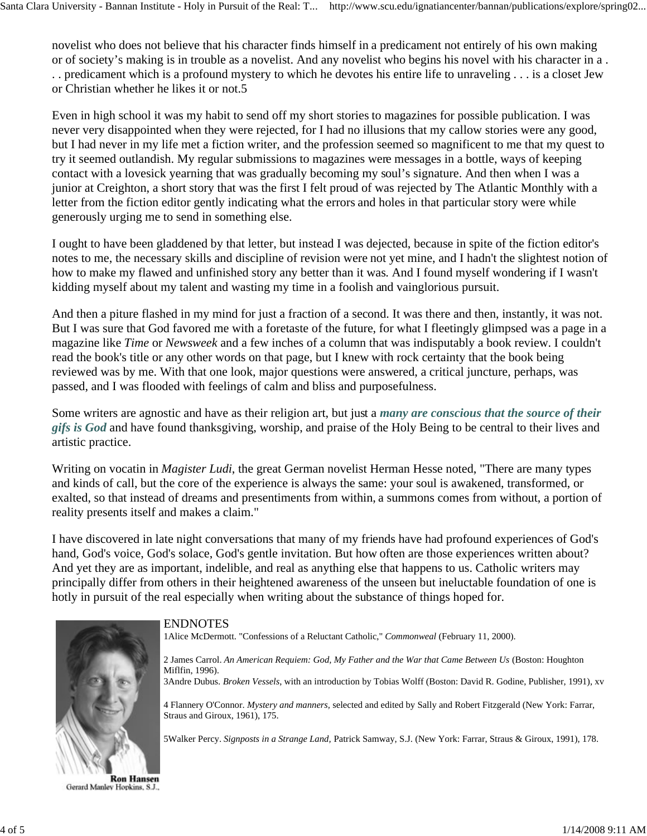novelist who does not believe that his character finds himself in a predicament not entirely of his own making or of society's making is in trouble as a novelist. And any novelist who begins his novel with his character in a . . . predicament which is a profound mystery to which he devotes his entire life to unraveling . . . is a closet Jew or Christian whether he likes it or not.5

Even in high school it was my habit to send off my short stories to magazines for possible publication. I was never very disappointed when they were rejected, for I had no illusions that my callow stories were any good, but I had never in my life met a fiction writer, and the profession seemed so magnificent to me that my quest to try it seemed outlandish. My regular submissions to magazines were messages in a bottle, ways of keeping contact with a lovesick yearning that was gradually becoming my soul's signature. And then when I was a junior at Creighton, a short story that was the first I felt proud of was rejected by The Atlantic Monthly with a letter from the fiction editor gently indicating what the errors and holes in that particular story were while generously urging me to send in something else.

I ought to have been gladdened by that letter, but instead I was dejected, because in spite of the fiction editor's notes to me, the necessary skills and discipline of revision were not yet mine, and I hadn't the slightest notion of how to make my flawed and unfinished story any better than it was. And I found myself wondering if I wasn't kidding myself about my talent and wasting my time in a foolish and vainglorious pursuit.

And then a piture flashed in my mind for just a fraction of a second. It was there and then, instantly, it was not. But I was sure that God favored me with a foretaste of the future, for what I fleetingly glimpsed was a page in a magazine like *Time* or *Newsweek* and a few inches of a column that was indisputably a book review. I couldn't read the book's title or any other words on that page, but I knew with rock certainty that the book being reviewed was by me. With that one look, major questions were answered, a critical juncture, perhaps, was passed, and I was flooded with feelings of calm and bliss and purposefulness.

Some writers are agnostic and have as their religion art, but just a *many are conscious that the source of their gifs is God* and have found thanksgiving, worship, and praise of the Holy Being to be central to their lives and artistic practice.

Writing on vocatin in *Magister Ludi*, the great German novelist Herman Hesse noted, "There are many types and kinds of call, but the core of the experience is always the same: your soul is awakened, transformed, or exalted, so that instead of dreams and presentiments from within, a summons comes from without, a portion of reality presents itself and makes a claim."

I have discovered in late night conversations that many of my friends have had profound experiences of God's hand, God's voice, God's solace, God's gentle invitation. But how often are those experiences written about? And yet they are as important, indelible, and real as anything else that happens to us. Catholic writers may principally differ from others in their heightened awareness of the unseen but ineluctable foundation of one is hotly in pursuit of the real especially when writing about the substance of things hoped for.



#### ENDNOTES

1Alice McDermott. "Confessions of a Reluctant Catholic," *Commonweal* (February 11, 2000).

2 James Carrol. *An American Requiem: God, My Father and the War that Came Between Us* (Boston: Houghton Miflfin, 1996).

3Andre Dubus. *Broken Vessels*, with an introduction by Tobias Wolff (Boston: David R. Godine, Publisher, 1991), xv

4 Flannery O'Connor. *Mystery and manners,* selected and edited by Sally and Robert Fitzgerald (New York: Farrar, Straus and Giroux, 1961), 175.

5Walker Percy. *Signposts in a Strange Land,* Patrick Samway, S.J. (New York: Farrar, Straus & Giroux, 1991), 178.

**Ron Hansen** Gerard Manley Hopkins, S.J.,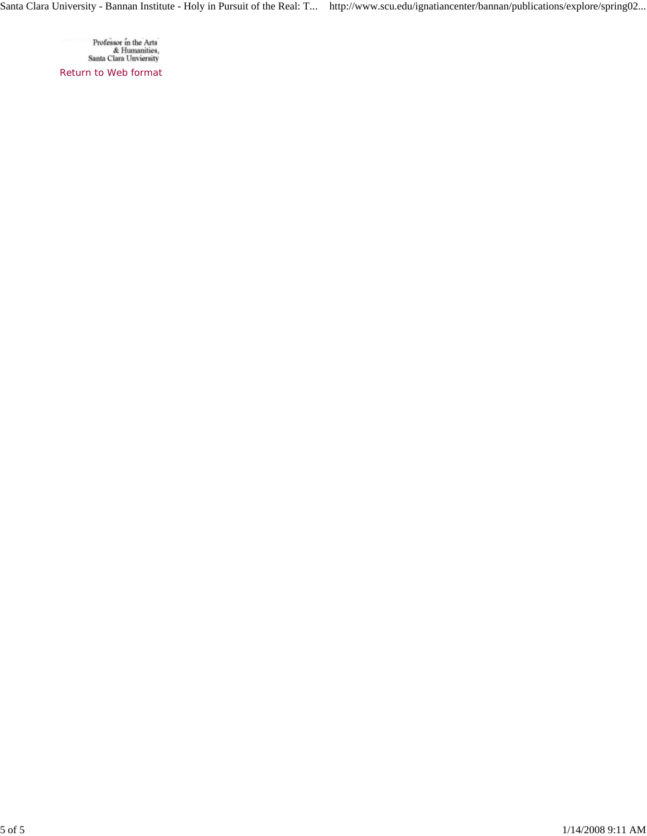Professor in the Arts<br>& Humanities,<br>Santa Clara Unviersity

Return to Web format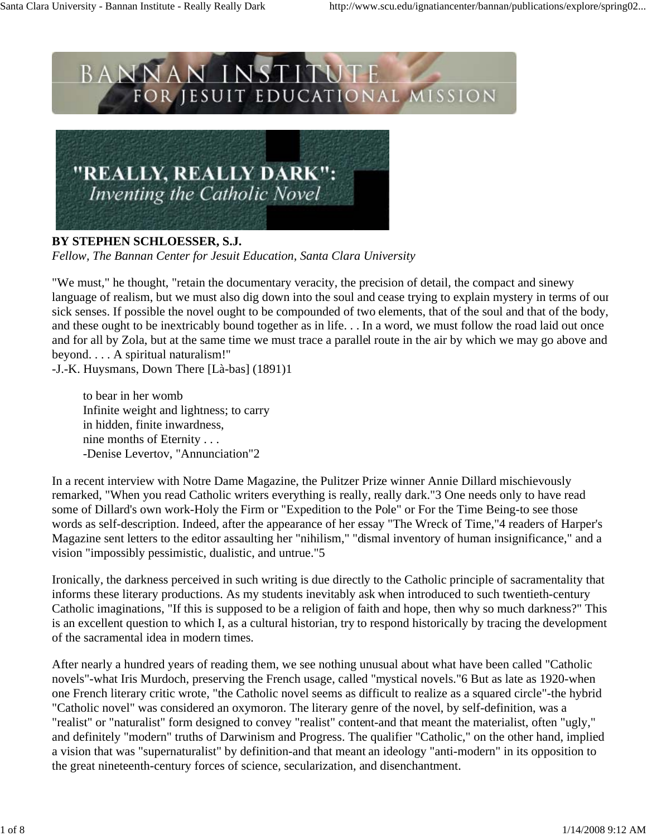

# **BY STEPHEN SCHLOESSER, S.J.**

*Fellow, The Bannan Center for Jesuit Education, Santa Clara University*

"We must," he thought, "retain the documentary veracity, the precision of detail, the compact and sinewy language of realism, but we must also dig down into the soul and cease trying to explain mystery in terms of our sick senses. If possible the novel ought to be compounded of two elements, that of the soul and that of the body, and these ought to be inextricably bound together as in life. . . In a word, we must follow the road laid out once and for all by Zola, but at the same time we must trace a parallel route in the air by which we may go above and beyond. . . . A spiritual naturalism!"

-J.-K. Huysmans, Down There [Là-bas] (1891)1

to bear in her womb Infinite weight and lightness; to carry in hidden, finite inwardness, nine months of Eternity . . . -Denise Levertov, "Annunciation"2

In a recent interview with Notre Dame Magazine, the Pulitzer Prize winner Annie Dillard mischievously remarked, "When you read Catholic writers everything is really, really dark."3 One needs only to have read some of Dillard's own work-Holy the Firm or "Expedition to the Pole" or For the Time Being-to see those words as self-description. Indeed, after the appearance of her essay "The Wreck of Time,"4 readers of Harper's Magazine sent letters to the editor assaulting her "nihilism," "dismal inventory of human insignificance," and a vision "impossibly pessimistic, dualistic, and untrue."5

Ironically, the darkness perceived in such writing is due directly to the Catholic principle of sacramentality that informs these literary productions. As my students inevitably ask when introduced to such twentieth-century Catholic imaginations, "If this is supposed to be a religion of faith and hope, then why so much darkness?" This is an excellent question to which I, as a cultural historian, try to respond historically by tracing the development of the sacramental idea in modern times.

After nearly a hundred years of reading them, we see nothing unusual about what have been called "Catholic novels"-what Iris Murdoch, preserving the French usage, called "mystical novels."6 But as late as 1920-when one French literary critic wrote, "the Catholic novel seems as difficult to realize as a squared circle"-the hybrid "Catholic novel" was considered an oxymoron. The literary genre of the novel, by self-definition, was a "realist" or "naturalist" form designed to convey "realist" content-and that meant the materialist, often "ugly," and definitely "modern" truths of Darwinism and Progress. The qualifier "Catholic," on the other hand, implied a vision that was "supernaturalist" by definition-and that meant an ideology "anti-modern" in its opposition to the great nineteenth-century forces of science, secularization, and disenchantment.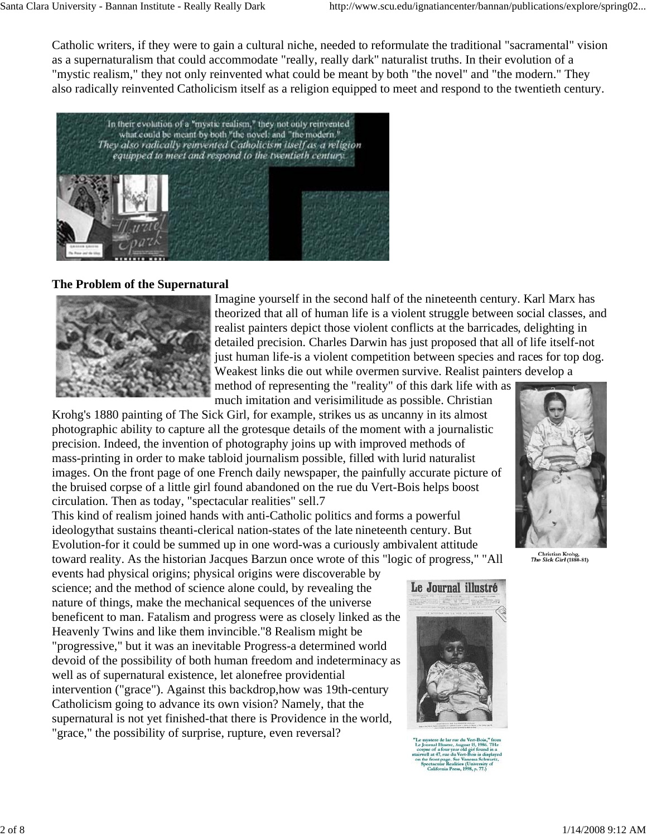Catholic writers, if they were to gain a cultural niche, needed to reformulate the traditional "sacramental" vision as a supernaturalism that could accommodate "really, really dark" naturalist truths. In their evolution of a "mystic realism," they not only reinvented what could be meant by both "the novel" and "the modern." They also radically reinvented Catholicism itself as a religion equipped to meet and respond to the twentieth century.



#### **The Problem of the Supernatural**



Imagine yourself in the second half of the nineteenth century. Karl Marx has theorized that all of human life is a violent struggle between social classes, and realist painters depict those violent conflicts at the barricades, delighting in detailed precision. Charles Darwin has just proposed that all of life itself-not just human life-is a violent competition between species and races for top dog. Weakest links die out while overmen survive. Realist painters develop a method of representing the "reality" of this dark life with as

much imitation and verisimilitude as possible. Christian

Krohg's 1880 painting of The Sick Girl, for example, strikes us as uncanny in its almost photographic ability to capture all the grotesque details of the moment with a journalistic precision. Indeed, the invention of photography joins up with improved methods of mass-printing in order to make tabloid journalism possible, filled with lurid naturalist images. On the front page of one French daily newspaper, the painfully accurate picture of the bruised corpse of a little girl found abandoned on the rue du Vert-Bois helps boost circulation. Then as today, "spectacular realities" sell.7

This kind of realism joined hands with anti-Catholic politics and forms a powerful ideologythat sustains theanti-clerical nation-states of the late nineteenth century. But Evolution-for it could be summed up in one word-was a curiously ambivalent attitude toward reality. As the historian Jacques Barzun once wrote of this "logic of progress," "All

events had physical origins; physical origins were discoverable by science; and the method of science alone could, by revealing the nature of things, make the mechanical sequences of the universe beneficent to man. Fatalism and progress were as closely linked as the Heavenly Twins and like them invincible."8 Realism might be "progressive," but it was an inevitable Progress-a determined world devoid of the possibility of both human freedom and indeterminacy as well as of supernatural existence, let alonefree providential intervention ("grace"). Against this backdrop,how was 19th-century Catholicism going to advance its own vision? Namely, that the supernatural is not yet finished-that there is Providence in the world, "grace," the possibility of surprise, rupture, even reversal?



Christian Krohg,<br>The Sick Girl (1880-81)



nystere de lar rue du Vert-Bois," fre<br>ournal Illustre, August 15, 1986. TH<br>pse of a four year old girl found in a<br>ell at 47, rue du Vert-Bois is display<br>he front page. See Vanessa Schwart<br>pectacular Realities (University o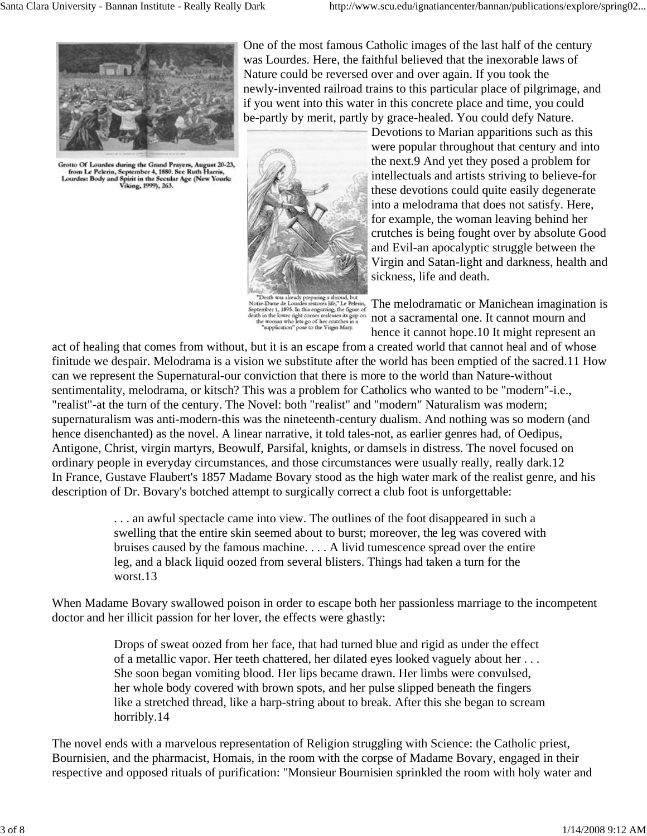

Grotto Of Lourdes during the Grand Prayers, August 20-2!<br>from Le Pelerin, September 4, 1880. See Ruth Harris,<br>Lourdes: Body and Spirit in the Secular Age (New Yourk:<br>Viking, 1999), 263. st 20-23.

One of the most famous Catholic images of the last half of the century was Lourdes. Here, the faithful believed that the inexorable laws of Nature could be reversed over and over again. If you took the newly-invented railroad trains to this particular place of pilgrimage, and if you went into this water in this concrete place and time, you could be-partly by merit, partly by grace-healed. You could defy Nature.



"Death was already preparing a shroud, but<br>Notre-Dame de Lourdes restores life," Le Pelerin, September 1, 1895. In this engraving, the figure of death in the lower eight corner realesses its grip on<br>the woman who lets go of her crutches in a<br>"supplication" pose to the Virgin Mary.

Devotions to Marian apparitions such as this were popular throughout that century and into the next.9 And yet they posed a problem for intellectuals and artists striving to believe-for these devotions could quite easily degenerate into a melodrama that does not satisfy. Here, for example, the woman leaving behind her crutches is being fought over by absolute Good and Evil-an apocalyptic struggle between the Virgin and Satan-light and darkness, health and sickness, life and death.

The melodramatic or Manichean imagination is not a sacramental one. It cannot mourn and hence it cannot hope.10 It might represent an

act of healing that comes from without, but it is an escape from a created world that cannot heal and of whose finitude we despair. Melodrama is a vision we substitute after the world has been emptied of the sacred.11 How can we represent the Supernatural-our conviction that there is more to the world than Nature-without sentimentality, melodrama, or kitsch? This was a problem for Catholics who wanted to be "modern"-i.e., "realist"-at the turn of the century. The Novel: both "realist" and "modern" Naturalism was modern; supernaturalism was anti-modern-this was the nineteenth-century dualism. And nothing was so modern (and hence disenchanted) as the novel. A linear narrative, it told tales-not, as earlier genres had, of Oedipus, Antigone, Christ, virgin martyrs, Beowulf, Parsifal, knights, or damsels in distress. The novel focused on ordinary people in everyday circumstances, and those circumstances were usually really, really dark.12 In France, Gustave Flaubert's 1857 Madame Bovary stood as the high water mark of the realist genre, and his description of Dr. Bovary's botched attempt to surgically correct a club foot is unforgettable:

> . . . an awful spectacle came into view. The outlines of the foot disappeared in such a swelling that the entire skin seemed about to burst; moreover, the leg was covered with bruises caused by the famous machine. . . . A livid tumescence spread over the entire leg, and a black liquid oozed from several blisters. Things had taken a turn for the worst.13

When Madame Bovary swallowed poison in order to escape both her passionless marriage to the incompetent doctor and her illicit passion for her lover, the effects were ghastly:

> Drops of sweat oozed from her face, that had turned blue and rigid as under the effect of a metallic vapor. Her teeth chattered, her dilated eyes looked vaguely about her . . . She soon began vomiting blood. Her lips became drawn. Her limbs were convulsed, her whole body covered with brown spots, and her pulse slipped beneath the fingers like a stretched thread, like a harp-string about to break. After this she began to scream horribly.14

The novel ends with a marvelous representation of Religion struggling with Science: the Catholic priest, Bournisien, and the pharmacist, Homais, in the room with the corpse of Madame Bovary, engaged in their respective and opposed rituals of purification: "Monsieur Bournisien sprinkled the room with holy water and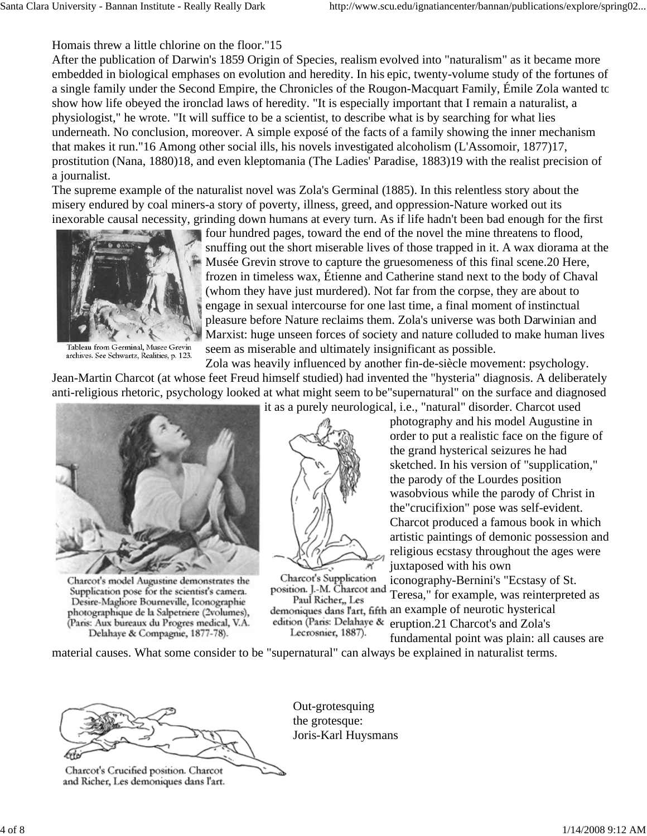#### Homais threw a little chlorine on the floor."15

After the publication of Darwin's 1859 Origin of Species, realism evolved into "naturalism" as it became more embedded in biological emphases on evolution and heredity. In his epic, twenty-volume study of the fortunes of a single family under the Second Empire, the Chronicles of the Rougon-Macquart Family, Émile Zola wanted to show how life obeyed the ironclad laws of heredity. "It is especially important that I remain a naturalist, a physiologist," he wrote. "It will suffice to be a scientist, to describe what is by searching for what lies underneath. No conclusion, moreover. A simple exposé of the facts of a family showing the inner mechanism that makes it run."16 Among other social ills, his novels investigated alcoholism (L'Assomoir, 1877)17, prostitution (Nana, 1880)18, and even kleptomania (The Ladies' Paradise, 1883)19 with the realist precision of a journalist.

The supreme example of the naturalist novel was Zola's Germinal (1885). In this relentless story about the misery endured by coal miners-a story of poverty, illness, greed, and oppression-Nature worked out its inexorable causal necessity, grinding down humans at every turn. As if life hadn't been bad enough for the first



Tableau from Germinal, Musee Grevin archives. See Schwartz, Realities, p. 123.

four hundred pages, toward the end of the novel the mine threatens to flood, snuffing out the short miserable lives of those trapped in it. A wax diorama at the Musée Grevin strove to capture the gruesomeness of this final scene.20 Here, frozen in timeless wax, Étienne and Catherine stand next to the body of Chaval (whom they have just murdered). Not far from the corpse, they are about to engage in sexual intercourse for one last time, a final moment of instinctual pleasure before Nature reclaims them. Zola's universe was both Darwinian and Marxist: huge unseen forces of society and nature colluded to make human lives seem as miserable and ultimately insignificant as possible.

Zola was heavily influenced by another fin-de-siècle movement: psychology.

Jean-Martin Charcot (at whose feet Freud himself studied) had invented the "hysteria" diagnosis. A deliberately anti-religious rhetoric, psychology looked at what might seem to be"supernatural" on the surface and diagnosed



Charcot's model Augustine demonstrates the Supplication pose for the scientist's camera. Desire-Magliore Bourneville, Iconographie photographique de la Salpetriere (2volumes), (Paris: Aux bureaux du Progres medical, V.A. Delahaye & Compagnie, 1877-78).



Charcot's Supplication position. J.-M. Charcot and

Paul Richer,, Les demoniques dans l'art, fifth an example of neurotic hysterical Lecrosnier, 1887).

it as a purely neurological, i.e., "natural" disorder. Charcot used photography and his model Augustine in order to put a realistic face on the figure of the grand hysterical seizures he had sketched. In his version of "supplication," the parody of the Lourdes position wasobvious while the parody of Christ in the"crucifixion" pose was self-evident. Charcot produced a famous book in which artistic paintings of demonic possession and religious ecstasy throughout the ages were juxtaposed with his own

iconography-Bernini's "Ecstasy of St. Teresa," for example, was reinterpreted as

edition (Paris: Delahaye & eruption.21 Charcot's and Zola's

fundamental point was plain: all causes are

material causes. What some consider to be "supernatural" can always be explained in naturalist terms.



Charcot's Crucified position. Charcot and Richer, Les demoniques dans l'art.

Out-grotesquing the grotesque: Joris-Karl Huysmans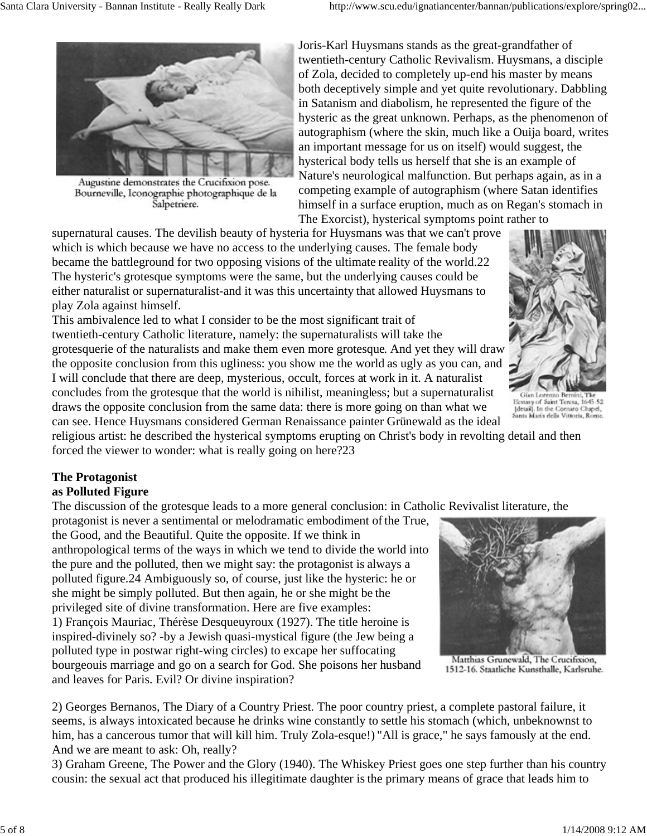

Augustine demonstrates the Crucifixion pose. Bourneville, Iconographie photographique de la Salpetriere.

Joris-Karl Huysmans stands as the great-grandfather of twentieth-century Catholic Revivalism. Huysmans, a disciple of Zola, decided to completely up-end his master by means both deceptively simple and yet quite revolutionary. Dabbling in Satanism and diabolism, he represented the figure of the hysteric as the great unknown. Perhaps, as the phenomenon of autographism (where the skin, much like a Ouija board, writes an important message for us on itself) would suggest, the hysterical body tells us herself that she is an example of Nature's neurological malfunction. But perhaps again, as in a competing example of autographism (where Satan identifies himself in a surface eruption, much as on Regan's stomach in The Exorcist), hysterical symptoms point rather to

supernatural causes. The devilish beauty of hysteria for Huysmans was that we can't prove which is which because we have no access to the underlying causes. The female body became the battleground for two opposing visions of the ultimate reality of the world.22 The hysteric's grotesque symptoms were the same, but the underlying causes could be either naturalist or supernaturalist-and it was this uncertainty that allowed Huysmans to play Zola against himself.

This ambivalence led to what I consider to be the most significant trait of twentieth-century Catholic literature, namely: the supernaturalists will take the grotesquerie of the naturalists and make them even more grotesque. And yet they will draw the opposite conclusion from this ugliness: you show me the world as ugly as you can, and I will conclude that there are deep, mysterious, occult, forces at work in it. A naturalist concludes from the grotesque that the world is nihilist, meaningless; but a supernaturalist draws the opposite conclusion from the same data: there is more going on than what we can see. Hence Huysmans considered German Renaissance painter Grünewald as the ideal

religious artist: he described the hysterical symptoms erupting on Christ's body in revolting detail and then forced the viewer to wonder: what is really going on here?23

#### **The Protagonist as Polluted Figure**

The discussion of the grotesque leads to a more general conclusion: in Catholic Revivalist literature, the

protagonist is never a sentimental or melodramatic embodiment of the True, the Good, and the Beautiful. Quite the opposite. If we think in anthropological terms of the ways in which we tend to divide the world into the pure and the polluted, then we might say: the protagonist is always a polluted figure.24 Ambiguously so, of course, just like the hysteric: he or she might be simply polluted. But then again, he or she might be the privileged site of divine transformation. Here are five examples: 1) François Mauriac, Thérèse Desqueuyroux (1927). The title heroine is inspired-divinely so? -by a Jewish quasi-mystical figure (the Jew being a polluted type in postwar right-wing circles) to excape her suffocating

bourgeouis marriage and go on a search for God. She poisons her husband

and leaves for Paris. Evil? Or divine inspiration?

Matthias Grunewald, The Crucifixion, 1512-16. Staatliche Kunsthalle, Karlsruhe.

2) Georges Bernanos, The Diary of a Country Priest. The poor country priest, a complete pastoral failure, it seems, is always intoxicated because he drinks wine constantly to settle his stomach (which, unbeknownst to him, has a cancerous tumor that will kill him. Truly Zola-esque!) "All is grace," he says famously at the end. And we are meant to ask: Oh, really?

3) Graham Greene, The Power and the Glory (1940). The Whiskey Priest goes one step further than his country cousin: the sexual act that produced his illegitimate daughter is the primary means of grace that leads him to





Ecstasy of Saint Teresa, 1645 [detail]. In the Cornaro Chapel,<br>Santa Maria della Vittoria, Rome.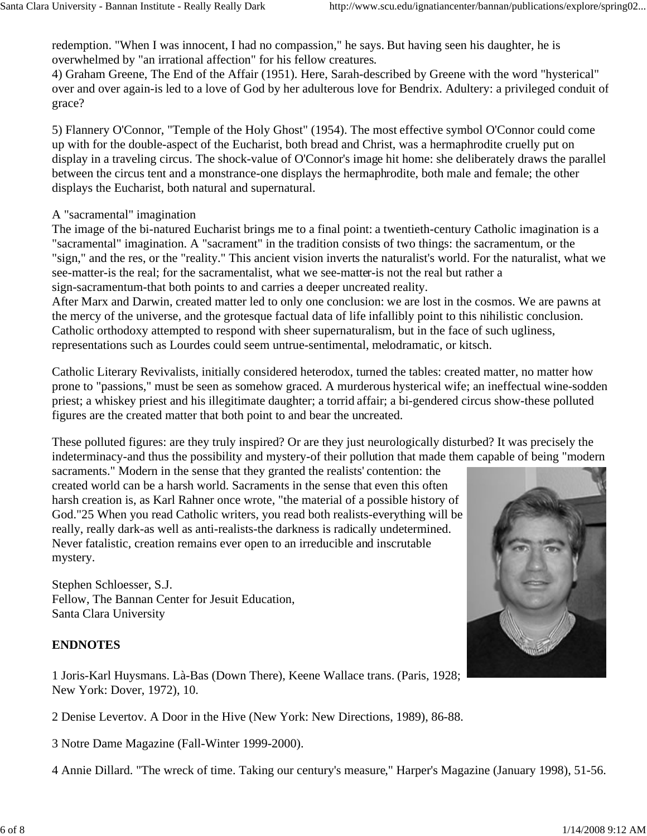redemption. "When I was innocent, I had no compassion," he says. But having seen his daughter, he is overwhelmed by "an irrational affection" for his fellow creatures.

4) Graham Greene, The End of the Affair (1951). Here, Sarah-described by Greene with the word "hysterical" over and over again-is led to a love of God by her adulterous love for Bendrix. Adultery: a privileged conduit of grace?

5) Flannery O'Connor, "Temple of the Holy Ghost" (1954). The most effective symbol O'Connor could come up with for the double-aspect of the Eucharist, both bread and Christ, was a hermaphrodite cruelly put on display in a traveling circus. The shock-value of O'Connor's image hit home: she deliberately draws the parallel between the circus tent and a monstrance-one displays the hermaphrodite, both male and female; the other displays the Eucharist, both natural and supernatural.

# A "sacramental" imagination

The image of the bi-natured Eucharist brings me to a final point: a twentieth-century Catholic imagination is a "sacramental" imagination. A "sacrament" in the tradition consists of two things: the sacramentum, or the "sign," and the res, or the "reality." This ancient vision inverts the naturalist's world. For the naturalist, what we see-matter-is the real; for the sacramentalist, what we see-matter-is not the real but rather a sign-sacramentum-that both points to and carries a deeper uncreated reality.

After Marx and Darwin, created matter led to only one conclusion: we are lost in the cosmos. We are pawns at the mercy of the universe, and the grotesque factual data of life infallibly point to this nihilistic conclusion. Catholic orthodoxy attempted to respond with sheer supernaturalism, but in the face of such ugliness, representations such as Lourdes could seem untrue-sentimental, melodramatic, or kitsch.

Catholic Literary Revivalists, initially considered heterodox, turned the tables: created matter, no matter how prone to "passions," must be seen as somehow graced. A murderous hysterical wife; an ineffectual wine-sodden priest; a whiskey priest and his illegitimate daughter; a torrid affair; a bi-gendered circus show-these polluted figures are the created matter that both point to and bear the uncreated.

These polluted figures: are they truly inspired? Or are they just neurologically disturbed? It was precisely the indeterminacy-and thus the possibility and mystery-of their pollution that made them capable of being "modern

sacraments." Modern in the sense that they granted the realists' contention: the created world can be a harsh world. Sacraments in the sense that even this often harsh creation is, as Karl Rahner once wrote, "the material of a possible history of God."25 When you read Catholic writers, you read both realists-everything will be really, really dark-as well as anti-realists-the darkness is radically undetermined. Never fatalistic, creation remains ever open to an irreducible and inscrutable mystery.

Stephen Schloesser, S.J. Fellow, The Bannan Center for Jesuit Education, Santa Clara University

# **ENDNOTES**

1 Joris-Karl Huysmans. Là-Bas (Down There), Keene Wallace trans. (Paris, 1928; New York: Dover, 1972), 10.

2 Denise Levertov. A Door in the Hive (New York: New Directions, 1989), 86-88.

3 Notre Dame Magazine (Fall-Winter 1999-2000).

4 Annie Dillard. "The wreck of time. Taking our century's measure," Harper's Magazine (January 1998), 51-56.

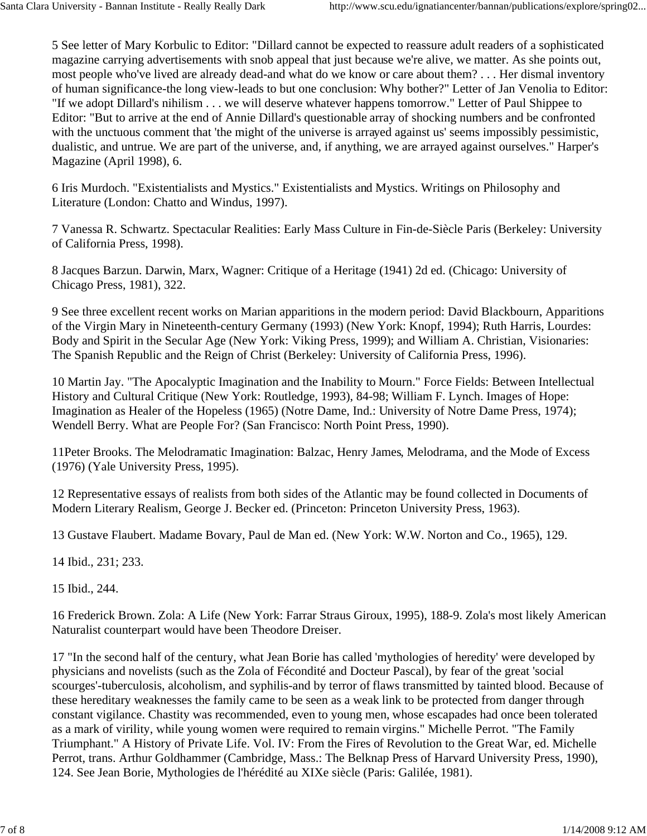5 See letter of Mary Korbulic to Editor: "Dillard cannot be expected to reassure adult readers of a sophisticated magazine carrying advertisements with snob appeal that just because we're alive, we matter. As she points out, most people who've lived are already dead-and what do we know or care about them? . . . Her dismal inventory of human significance-the long view-leads to but one conclusion: Why bother?" Letter of Jan Venolia to Editor: "If we adopt Dillard's nihilism . . . we will deserve whatever happens tomorrow." Letter of Paul Shippee to Editor: "But to arrive at the end of Annie Dillard's questionable array of shocking numbers and be confronted with the unctuous comment that 'the might of the universe is arrayed against us' seems impossibly pessimistic, dualistic, and untrue. We are part of the universe, and, if anything, we are arrayed against ourselves." Harper's Magazine (April 1998), 6.

6 Iris Murdoch. "Existentialists and Mystics." Existentialists and Mystics. Writings on Philosophy and Literature (London: Chatto and Windus, 1997).

7 Vanessa R. Schwartz. Spectacular Realities: Early Mass Culture in Fin-de-Siècle Paris (Berkeley: University of California Press, 1998).

8 Jacques Barzun. Darwin, Marx, Wagner: Critique of a Heritage (1941) 2d ed. (Chicago: University of Chicago Press, 1981), 322.

9 See three excellent recent works on Marian apparitions in the modern period: David Blackbourn, Apparitions of the Virgin Mary in Nineteenth-century Germany (1993) (New York: Knopf, 1994); Ruth Harris, Lourdes: Body and Spirit in the Secular Age (New York: Viking Press, 1999); and William A. Christian, Visionaries: The Spanish Republic and the Reign of Christ (Berkeley: University of California Press, 1996).

10 Martin Jay. "The Apocalyptic Imagination and the Inability to Mourn." Force Fields: Between Intellectual History and Cultural Critique (New York: Routledge, 1993), 84-98; William F. Lynch. Images of Hope: Imagination as Healer of the Hopeless (1965) (Notre Dame, Ind.: University of Notre Dame Press, 1974); Wendell Berry. What are People For? (San Francisco: North Point Press, 1990).

11Peter Brooks. The Melodramatic Imagination: Balzac, Henry James, Melodrama, and the Mode of Excess (1976) (Yale University Press, 1995).

12 Representative essays of realists from both sides of the Atlantic may be found collected in Documents of Modern Literary Realism, George J. Becker ed. (Princeton: Princeton University Press, 1963).

13 Gustave Flaubert. Madame Bovary, Paul de Man ed. (New York: W.W. Norton and Co., 1965), 129.

14 Ibid., 231; 233.

15 Ibid., 244.

16 Frederick Brown. Zola: A Life (New York: Farrar Straus Giroux, 1995), 188-9. Zola's most likely American Naturalist counterpart would have been Theodore Dreiser.

17 "In the second half of the century, what Jean Borie has called 'mythologies of heredity' were developed by physicians and novelists (such as the Zola of Fécondité and Docteur Pascal), by fear of the great 'social scourges'-tuberculosis, alcoholism, and syphilis-and by terror of flaws transmitted by tainted blood. Because of these hereditary weaknesses the family came to be seen as a weak link to be protected from danger through constant vigilance. Chastity was recommended, even to young men, whose escapades had once been tolerated as a mark of virility, while young women were required to remain virgins." Michelle Perrot. "The Family Triumphant." A History of Private Life. Vol. IV: From the Fires of Revolution to the Great War, ed. Michelle Perrot, trans. Arthur Goldhammer (Cambridge, Mass.: The Belknap Press of Harvard University Press, 1990), 124. See Jean Borie, Mythologies de l'hérédité au XIXe siècle (Paris: Galilée, 1981).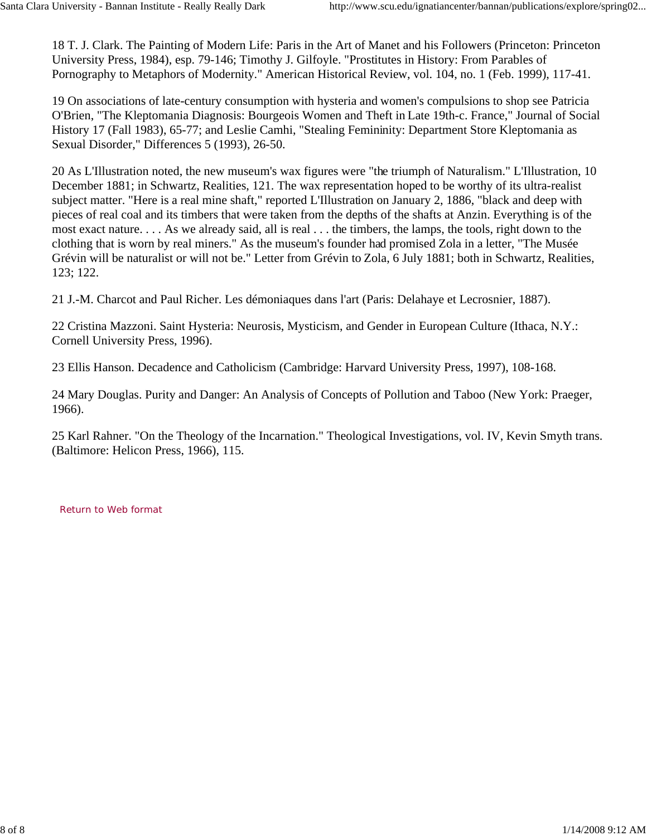18 T. J. Clark. The Painting of Modern Life: Paris in the Art of Manet and his Followers (Princeton: Princeton University Press, 1984), esp. 79-146; Timothy J. Gilfoyle. "Prostitutes in History: From Parables of Pornography to Metaphors of Modernity." American Historical Review, vol. 104, no. 1 (Feb. 1999), 117-41.

19 On associations of late-century consumption with hysteria and women's compulsions to shop see Patricia O'Brien, "The Kleptomania Diagnosis: Bourgeois Women and Theft in Late 19th-c. France," Journal of Social History 17 (Fall 1983), 65-77; and Leslie Camhi, "Stealing Femininity: Department Store Kleptomania as Sexual Disorder," Differences 5 (1993), 26-50.

20 As L'Illustration noted, the new museum's wax figures were "the triumph of Naturalism." L'Illustration, 10 December 1881; in Schwartz, Realities, 121. The wax representation hoped to be worthy of its ultra-realist subject matter. "Here is a real mine shaft," reported L'Illustration on January 2, 1886, "black and deep with pieces of real coal and its timbers that were taken from the depths of the shafts at Anzin. Everything is of the most exact nature. . . . As we already said, all is real . . . the timbers, the lamps, the tools, right down to the clothing that is worn by real miners." As the museum's founder had promised Zola in a letter, "The Musée Grévin will be naturalist or will not be." Letter from Grévin to Zola, 6 July 1881; both in Schwartz, Realities, 123; 122.

21 J.-M. Charcot and Paul Richer. Les démoniaques dans l'art (Paris: Delahaye et Lecrosnier, 1887).

22 Cristina Mazzoni. Saint Hysteria: Neurosis, Mysticism, and Gender in European Culture (Ithaca, N.Y.: Cornell University Press, 1996).

23 Ellis Hanson. Decadence and Catholicism (Cambridge: Harvard University Press, 1997), 108-168.

24 Mary Douglas. Purity and Danger: An Analysis of Concepts of Pollution and Taboo (New York: Praeger, 1966).

25 Karl Rahner. "On the Theology of the Incarnation." Theological Investigations, vol. IV, Kevin Smyth trans. (Baltimore: Helicon Press, 1966), 115.

Return to Web format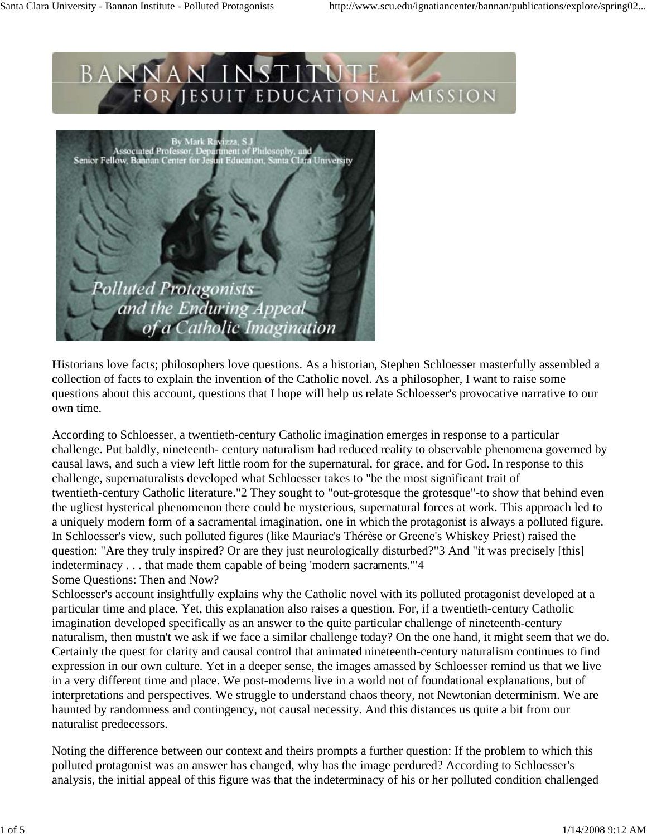

**H**istorians love facts; philosophers love questions. As a historian, Stephen Schloesser masterfully assembled a collection of facts to explain the invention of the Catholic novel. As a philosopher, I want to raise some questions about this account, questions that I hope will help us relate Schloesser's provocative narrative to our own time.

According to Schloesser, a twentieth-century Catholic imagination emerges in response to a particular challenge. Put baldly, nineteenth- century naturalism had reduced reality to observable phenomena governed by causal laws, and such a view left little room for the supernatural, for grace, and for God. In response to this challenge, supernaturalists developed what Schloesser takes to "be the most significant trait of twentieth-century Catholic literature."2 They sought to "out-grotesque the grotesque"-to show that behind even the ugliest hysterical phenomenon there could be mysterious, supernatural forces at work. This approach led to a uniquely modern form of a sacramental imagination, one in which the protagonist is always a polluted figure. In Schloesser's view, such polluted figures (like Mauriac's Thérèse or Greene's Whiskey Priest) raised the question: "Are they truly inspired? Or are they just neurologically disturbed?"3 And "it was precisely [this] indeterminacy . . . that made them capable of being 'modern sacraments.'"4 Some Questions: Then and Now?

Schloesser's account insightfully explains why the Catholic novel with its polluted protagonist developed at a particular time and place. Yet, this explanation also raises a question. For, if a twentieth-century Catholic imagination developed specifically as an answer to the quite particular challenge of nineteenth-century naturalism, then mustn't we ask if we face a similar challenge today? On the one hand, it might seem that we do. Certainly the quest for clarity and causal control that animated nineteenth-century naturalism continues to find expression in our own culture. Yet in a deeper sense, the images amassed by Schloesser remind us that we live in a very different time and place. We post-moderns live in a world not of foundational explanations, but of interpretations and perspectives. We struggle to understand chaos theory, not Newtonian determinism. We are haunted by randomness and contingency, not causal necessity. And this distances us quite a bit from our naturalist predecessors.

Noting the difference between our context and theirs prompts a further question: If the problem to which this polluted protagonist was an answer has changed, why has the image perdured? According to Schloesser's analysis, the initial appeal of this figure was that the indeterminacy of his or her polluted condition challenged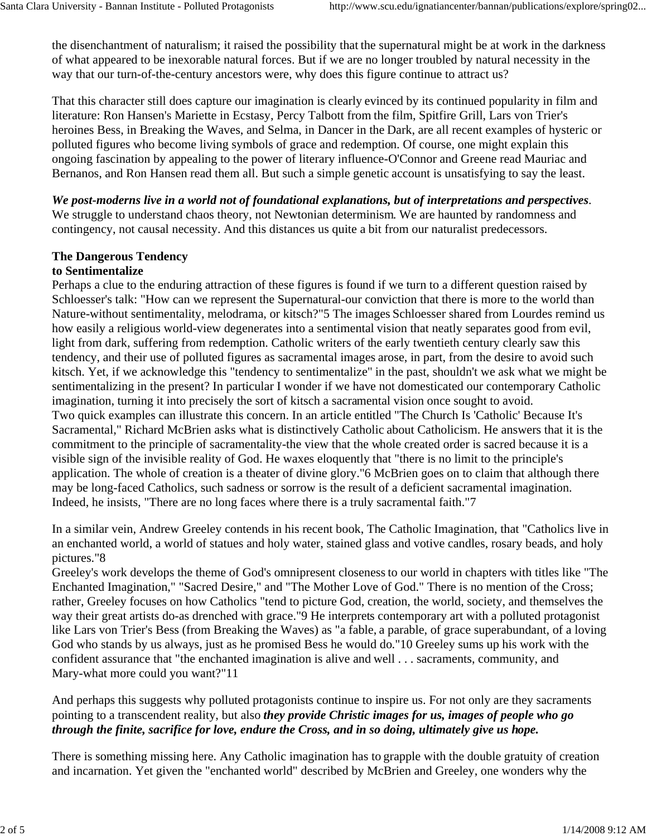the disenchantment of naturalism; it raised the possibility that the supernatural might be at work in the darkness of what appeared to be inexorable natural forces. But if we are no longer troubled by natural necessity in the way that our turn-of-the-century ancestors were, why does this figure continue to attract us?

That this character still does capture our imagination is clearly evinced by its continued popularity in film and literature: Ron Hansen's Mariette in Ecstasy, Percy Talbott from the film, Spitfire Grill, Lars von Trier's heroines Bess, in Breaking the Waves, and Selma, in Dancer in the Dark, are all recent examples of hysteric or polluted figures who become living symbols of grace and redemption. Of course, one might explain this ongoing fascination by appealing to the power of literary influence-O'Connor and Greene read Mauriac and Bernanos, and Ron Hansen read them all. But such a simple genetic account is unsatisfying to say the least.

*We post-moderns live in a world not of foundational explanations, but of interpretations and perspectives*. We struggle to understand chaos theory, not Newtonian determinism. We are haunted by randomness and contingency, not causal necessity. And this distances us quite a bit from our naturalist predecessors.

# **The Dangerous Tendency**

# **to Sentimentalize**

Perhaps a clue to the enduring attraction of these figures is found if we turn to a different question raised by Schloesser's talk: "How can we represent the Supernatural-our conviction that there is more to the world than Nature-without sentimentality, melodrama, or kitsch?"5 The images Schloesser shared from Lourdes remind us how easily a religious world-view degenerates into a sentimental vision that neatly separates good from evil, light from dark, suffering from redemption. Catholic writers of the early twentieth century clearly saw this tendency, and their use of polluted figures as sacramental images arose, in part, from the desire to avoid such kitsch. Yet, if we acknowledge this "tendency to sentimentalize" in the past, shouldn't we ask what we might be sentimentalizing in the present? In particular I wonder if we have not domesticated our contemporary Catholic imagination, turning it into precisely the sort of kitsch a sacramental vision once sought to avoid. Two quick examples can illustrate this concern. In an article entitled "The Church Is 'Catholic' Because It's Sacramental," Richard McBrien asks what is distinctively Catholic about Catholicism. He answers that it is the commitment to the principle of sacramentality-the view that the whole created order is sacred because it is a visible sign of the invisible reality of God. He waxes eloquently that "there is no limit to the principle's application. The whole of creation is a theater of divine glory."6 McBrien goes on to claim that although there may be long-faced Catholics, such sadness or sorrow is the result of a deficient sacramental imagination. Indeed, he insists, "There are no long faces where there is a truly sacramental faith."7

In a similar vein, Andrew Greeley contends in his recent book, The Catholic Imagination, that "Catholics live in an enchanted world, a world of statues and holy water, stained glass and votive candles, rosary beads, and holy pictures."8

Greeley's work develops the theme of God's omnipresent closeness to our world in chapters with titles like "The Enchanted Imagination," "Sacred Desire," and "The Mother Love of God." There is no mention of the Cross; rather, Greeley focuses on how Catholics "tend to picture God, creation, the world, society, and themselves the way their great artists do-as drenched with grace."9 He interprets contemporary art with a polluted protagonist like Lars von Trier's Bess (from Breaking the Waves) as "a fable, a parable, of grace superabundant, of a loving God who stands by us always, just as he promised Bess he would do."10 Greeley sums up his work with the confident assurance that "the enchanted imagination is alive and well . . . sacraments, community, and Mary-what more could you want?"11

And perhaps this suggests why polluted protagonists continue to inspire us. For not only are they sacraments pointing to a transcendent reality, but also *they provide Christic images for us, images of people who go through the finite, sacrifice for love, endure the Cross, and in so doing, ultimately give us hope.*

There is something missing here. Any Catholic imagination has to grapple with the double gratuity of creation and incarnation. Yet given the "enchanted world" described by McBrien and Greeley, one wonders why the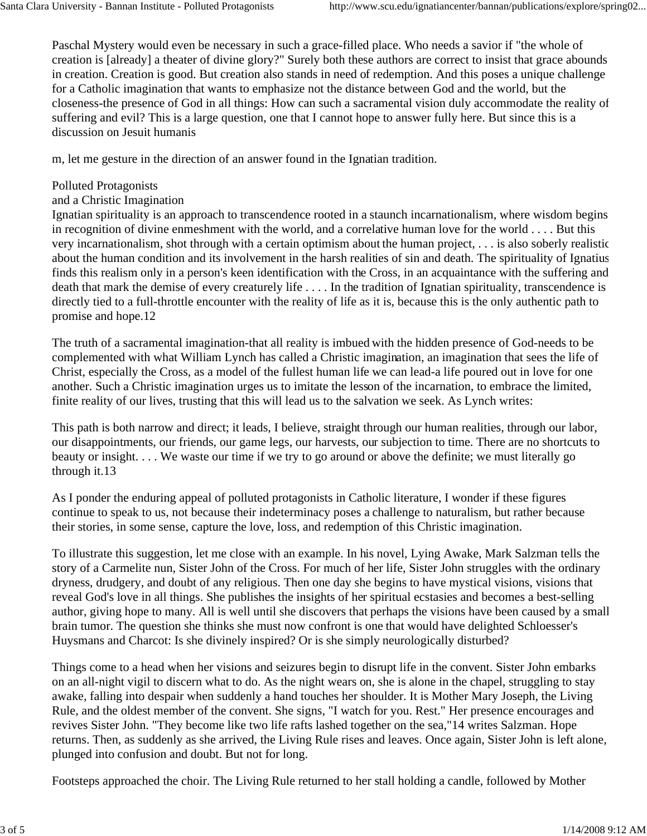Paschal Mystery would even be necessary in such a grace-filled place. Who needs a savior if "the whole of creation is [already] a theater of divine glory?" Surely both these authors are correct to insist that grace abounds in creation. Creation is good. But creation also stands in need of redemption. And this poses a unique challenge for a Catholic imagination that wants to emphasize not the distance between God and the world, but the closeness-the presence of God in all things: How can such a sacramental vision duly accommodate the reality of suffering and evil? This is a large question, one that I cannot hope to answer fully here. But since this is a discussion on Jesuit humanis

m, let me gesture in the direction of an answer found in the Ignatian tradition.

### Polluted Protagonists

### and a Christic Imagination

Ignatian spirituality is an approach to transcendence rooted in a staunch incarnationalism, where wisdom begins in recognition of divine enmeshment with the world, and a correlative human love for the world . . . . But this very incarnationalism, shot through with a certain optimism about the human project, . . . is also soberly realistic about the human condition and its involvement in the harsh realities of sin and death. The spirituality of Ignatius finds this realism only in a person's keen identification with the Cross, in an acquaintance with the suffering and death that mark the demise of every creaturely life . . . . In the tradition of Ignatian spirituality, transcendence is directly tied to a full-throttle encounter with the reality of life as it is, because this is the only authentic path to promise and hope.12

The truth of a sacramental imagination-that all reality is imbued with the hidden presence of God-needs to be complemented with what William Lynch has called a Christic imagination, an imagination that sees the life of Christ, especially the Cross, as a model of the fullest human life we can lead-a life poured out in love for one another. Such a Christic imagination urges us to imitate the lesson of the incarnation, to embrace the limited, finite reality of our lives, trusting that this will lead us to the salvation we seek. As Lynch writes:

This path is both narrow and direct; it leads, I believe, straight through our human realities, through our labor, our disappointments, our friends, our game legs, our harvests, our subjection to time. There are no shortcuts to beauty or insight. . . . We waste our time if we try to go around or above the definite; we must literally go through it.13

As I ponder the enduring appeal of polluted protagonists in Catholic literature, I wonder if these figures continue to speak to us, not because their indeterminacy poses a challenge to naturalism, but rather because their stories, in some sense, capture the love, loss, and redemption of this Christic imagination.

To illustrate this suggestion, let me close with an example. In his novel, Lying Awake, Mark Salzman tells the story of a Carmelite nun, Sister John of the Cross. For much of her life, Sister John struggles with the ordinary dryness, drudgery, and doubt of any religious. Then one day she begins to have mystical visions, visions that reveal God's love in all things. She publishes the insights of her spiritual ecstasies and becomes a best-selling author, giving hope to many. All is well until she discovers that perhaps the visions have been caused by a small brain tumor. The question she thinks she must now confront is one that would have delighted Schloesser's Huysmans and Charcot: Is she divinely inspired? Or is she simply neurologically disturbed?

Things come to a head when her visions and seizures begin to disrupt life in the convent. Sister John embarks on an all-night vigil to discern what to do. As the night wears on, she is alone in the chapel, struggling to stay awake, falling into despair when suddenly a hand touches her shoulder. It is Mother Mary Joseph, the Living Rule, and the oldest member of the convent. She signs, "I watch for you. Rest." Her presence encourages and revives Sister John. "They become like two life rafts lashed together on the sea,"14 writes Salzman. Hope returns. Then, as suddenly as she arrived, the Living Rule rises and leaves. Once again, Sister John is left alone, plunged into confusion and doubt. But not for long.

Footsteps approached the choir. The Living Rule returned to her stall holding a candle, followed by Mother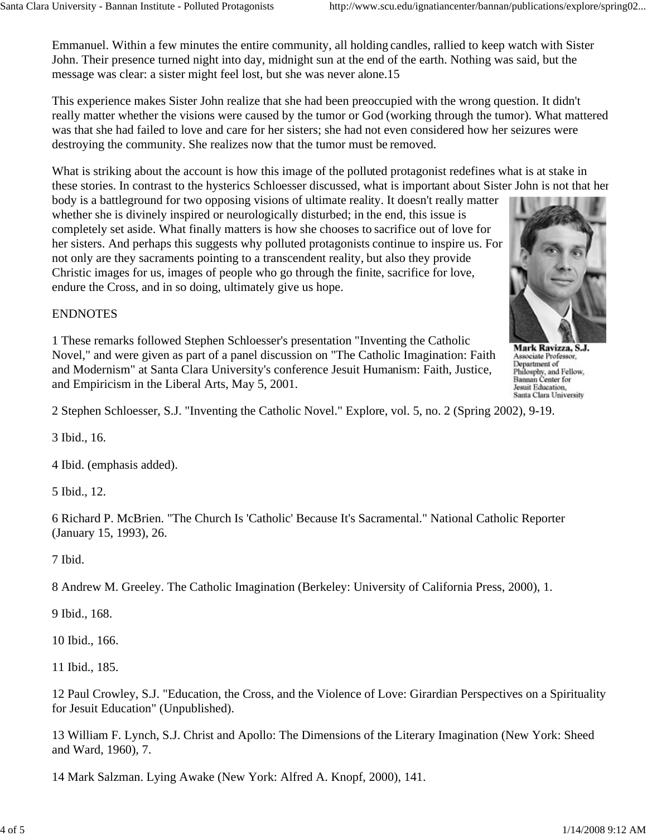Emmanuel. Within a few minutes the entire community, all holding candles, rallied to keep watch with Sister John. Their presence turned night into day, midnight sun at the end of the earth. Nothing was said, but the message was clear: a sister might feel lost, but she was never alone.15

This experience makes Sister John realize that she had been preoccupied with the wrong question. It didn't really matter whether the visions were caused by the tumor or God (working through the tumor). What mattered was that she had failed to love and care for her sisters; she had not even considered how her seizures were destroying the community. She realizes now that the tumor must be removed.

What is striking about the account is how this image of the polluted protagonist redefines what is at stake in these stories. In contrast to the hysterics Schloesser discussed, what is important about Sister John is not that her

body is a battleground for two opposing visions of ultimate reality. It doesn't really matter whether she is divinely inspired or neurologically disturbed; in the end, this issue is completely set aside. What finally matters is how she chooses to sacrifice out of love for her sisters. And perhaps this suggests why polluted protagonists continue to inspire us. For not only are they sacraments pointing to a transcendent reality, but also they provide Christic images for us, images of people who go through the finite, sacrifice for love, endure the Cross, and in so doing, ultimately give us hope.

#### ENDNOTES



Mark Ravizza, S.J. Associate Professor, Department of Philosphy, and Fellow, Bannan Center for Jesuit Education. Santa Clara University

1 These remarks followed Stephen Schloesser's presentation "Inventing the Catholic Novel," and were given as part of a panel discussion on "The Catholic Imagination: Faith and Modernism" at Santa Clara University's conference Jesuit Humanism: Faith, Justice, and Empiricism in the Liberal Arts, May 5, 2001.

2 Stephen Schloesser, S.J. "Inventing the Catholic Novel." Explore, vol. 5, no. 2 (Spring 2002), 9-19.

3 Ibid., 16.

4 Ibid. (emphasis added).

5 Ibid., 12.

6 Richard P. McBrien. "The Church Is 'Catholic' Because It's Sacramental." National Catholic Reporter (January 15, 1993), 26.

7 Ibid.

8 Andrew M. Greeley. The Catholic Imagination (Berkeley: University of California Press, 2000), 1.

9 Ibid., 168.

10 Ibid., 166.

11 Ibid., 185.

12 Paul Crowley, S.J. "Education, the Cross, and the Violence of Love: Girardian Perspectives on a Spirituality for Jesuit Education" (Unpublished).

13 William F. Lynch, S.J. Christ and Apollo: The Dimensions of the Literary Imagination (New York: Sheed and Ward, 1960), 7.

14 Mark Salzman. Lying Awake (New York: Alfred A. Knopf, 2000), 141.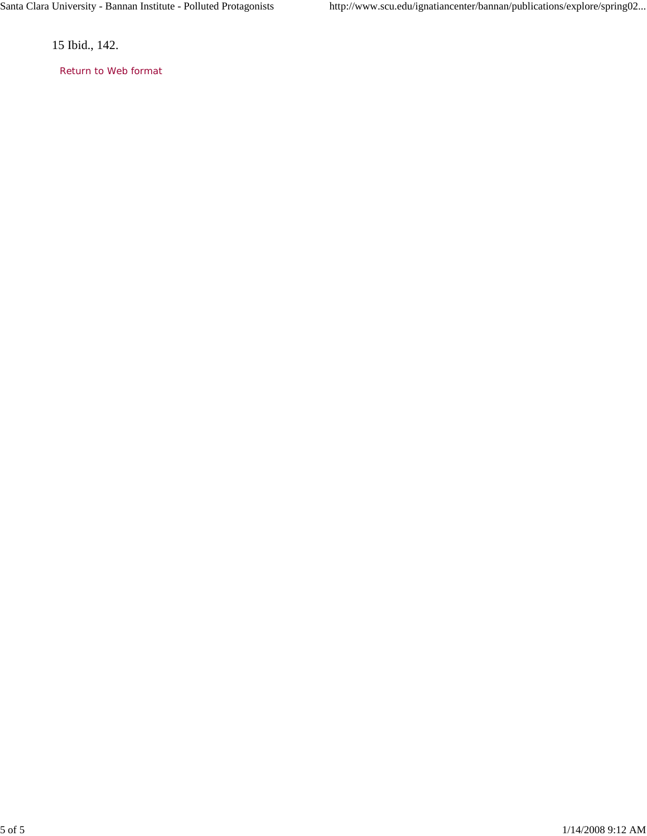15 Ibid., 142.

Return to Web format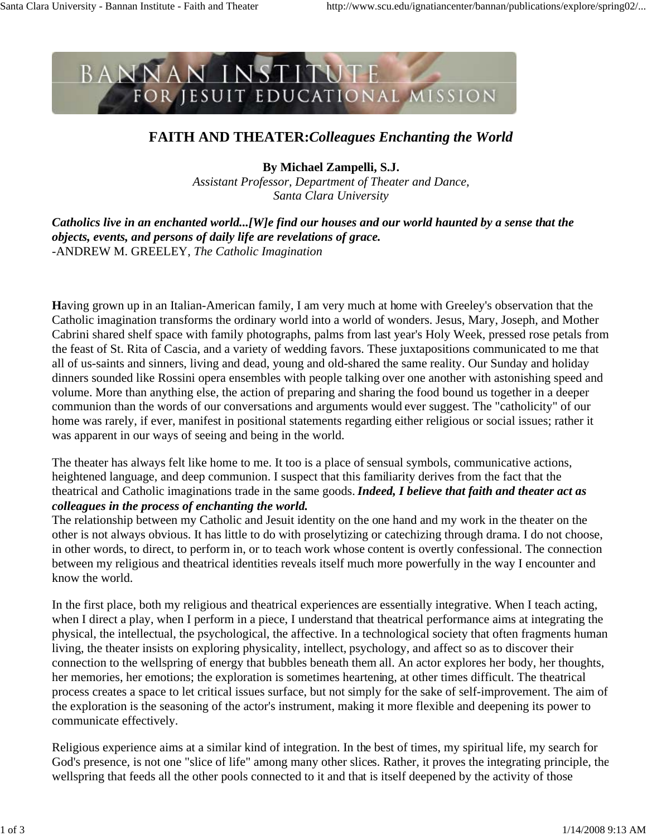# **FAITH AND THEATER:***Colleagues Enchanting the World*

**By Michael Zampelli, S.J.**

*Assistant Professor, Department of Theater and Dance, Santa Clara University*

*Catholics live in an enchanted world...[W]e find our houses and our world haunted by a sense that the objects, events, and persons of daily life are revelations of grace.* -ANDREW M. GREELEY, *The Catholic Imagination*

**H**aving grown up in an Italian-American family, I am very much at home with Greeley's observation that the Catholic imagination transforms the ordinary world into a world of wonders. Jesus, Mary, Joseph, and Mother Cabrini shared shelf space with family photographs, palms from last year's Holy Week, pressed rose petals from the feast of St. Rita of Cascia, and a variety of wedding favors. These juxtapositions communicated to me that all of us-saints and sinners, living and dead, young and old-shared the same reality. Our Sunday and holiday dinners sounded like Rossini opera ensembles with people talking over one another with astonishing speed and volume. More than anything else, the action of preparing and sharing the food bound us together in a deeper communion than the words of our conversations and arguments would ever suggest. The "catholicity" of our home was rarely, if ever, manifest in positional statements regarding either religious or social issues; rather it was apparent in our ways of seeing and being in the world.

The theater has always felt like home to me. It too is a place of sensual symbols, communicative actions, heightened language, and deep communion. I suspect that this familiarity derives from the fact that the theatrical and Catholic imaginations trade in the same goods. *Indeed, I believe that faith and theater act as colleagues in the process of enchanting the world.*

The relationship between my Catholic and Jesuit identity on the one hand and my work in the theater on the other is not always obvious. It has little to do with proselytizing or catechizing through drama. I do not choose, in other words, to direct, to perform in, or to teach work whose content is overtly confessional. The connection between my religious and theatrical identities reveals itself much more powerfully in the way I encounter and know the world.

In the first place, both my religious and theatrical experiences are essentially integrative. When I teach acting, when I direct a play, when I perform in a piece, I understand that theatrical performance aims at integrating the physical, the intellectual, the psychological, the affective. In a technological society that often fragments human living, the theater insists on exploring physicality, intellect, psychology, and affect so as to discover their connection to the wellspring of energy that bubbles beneath them all. An actor explores her body, her thoughts, her memories, her emotions; the exploration is sometimes heartening, at other times difficult. The theatrical process creates a space to let critical issues surface, but not simply for the sake of self-improvement. The aim of the exploration is the seasoning of the actor's instrument, making it more flexible and deepening its power to communicate effectively.

Religious experience aims at a similar kind of integration. In the best of times, my spiritual life, my search for God's presence, is not one "slice of life" among many other slices. Rather, it proves the integrating principle, the wellspring that feeds all the other pools connected to it and that is itself deepened by the activity of those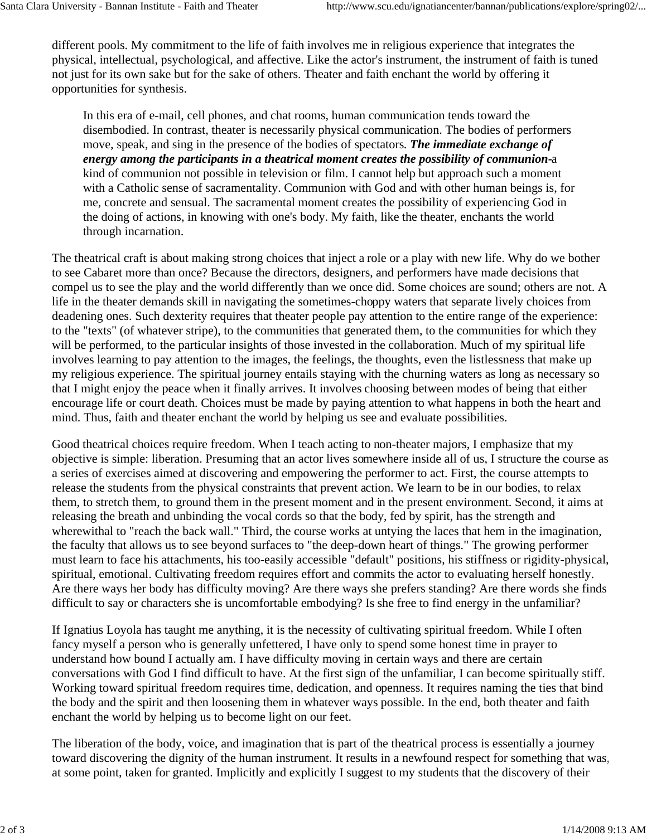different pools. My commitment to the life of faith involves me in religious experience that integrates the physical, intellectual, psychological, and affective. Like the actor's instrument, the instrument of faith is tuned not just for its own sake but for the sake of others. Theater and faith enchant the world by offering it opportunities for synthesis.

In this era of e-mail, cell phones, and chat rooms, human communication tends toward the disembodied. In contrast, theater is necessarily physical communication. The bodies of performers move, speak, and sing in the presence of the bodies of spectators. *The immediate exchange of energy among the participants in a theatrical moment creates the possibility of communion-*a kind of communion not possible in television or film. I cannot help but approach such a moment with a Catholic sense of sacramentality. Communion with God and with other human beings is, for me, concrete and sensual. The sacramental moment creates the possibility of experiencing God in the doing of actions, in knowing with one's body. My faith, like the theater, enchants the world through incarnation.

The theatrical craft is about making strong choices that inject a role or a play with new life. Why do we bother to see Cabaret more than once? Because the directors, designers, and performers have made decisions that compel us to see the play and the world differently than we once did. Some choices are sound; others are not. A life in the theater demands skill in navigating the sometimes-choppy waters that separate lively choices from deadening ones. Such dexterity requires that theater people pay attention to the entire range of the experience: to the "texts" (of whatever stripe), to the communities that generated them, to the communities for which they will be performed, to the particular insights of those invested in the collaboration. Much of my spiritual life involves learning to pay attention to the images, the feelings, the thoughts, even the listlessness that make up my religious experience. The spiritual journey entails staying with the churning waters as long as necessary so that I might enjoy the peace when it finally arrives. It involves choosing between modes of being that either encourage life or court death. Choices must be made by paying attention to what happens in both the heart and mind. Thus, faith and theater enchant the world by helping us see and evaluate possibilities.

Good theatrical choices require freedom. When I teach acting to non-theater majors, I emphasize that my objective is simple: liberation. Presuming that an actor lives somewhere inside all of us, I structure the course as a series of exercises aimed at discovering and empowering the performer to act. First, the course attempts to release the students from the physical constraints that prevent action. We learn to be in our bodies, to relax them, to stretch them, to ground them in the present moment and in the present environment. Second, it aims at releasing the breath and unbinding the vocal cords so that the body, fed by spirit, has the strength and wherewithal to "reach the back wall." Third, the course works at untying the laces that hem in the imagination, the faculty that allows us to see beyond surfaces to "the deep-down heart of things." The growing performer must learn to face his attachments, his too-easily accessible "default" positions, his stiffness or rigidity-physical, spiritual, emotional. Cultivating freedom requires effort and commits the actor to evaluating herself honestly. Are there ways her body has difficulty moving? Are there ways she prefers standing? Are there words she finds difficult to say or characters she is uncomfortable embodying? Is she free to find energy in the unfamiliar?

If Ignatius Loyola has taught me anything, it is the necessity of cultivating spiritual freedom. While I often fancy myself a person who is generally unfettered, I have only to spend some honest time in prayer to understand how bound I actually am. I have difficulty moving in certain ways and there are certain conversations with God I find difficult to have. At the first sign of the unfamiliar, I can become spiritually stiff. Working toward spiritual freedom requires time, dedication, and openness. It requires naming the ties that bind the body and the spirit and then loosening them in whatever ways possible. In the end, both theater and faith enchant the world by helping us to become light on our feet.

The liberation of the body, voice, and imagination that is part of the theatrical process is essentially a journey toward discovering the dignity of the human instrument. It results in a newfound respect for something that was, at some point, taken for granted. Implicitly and explicitly I suggest to my students that the discovery of their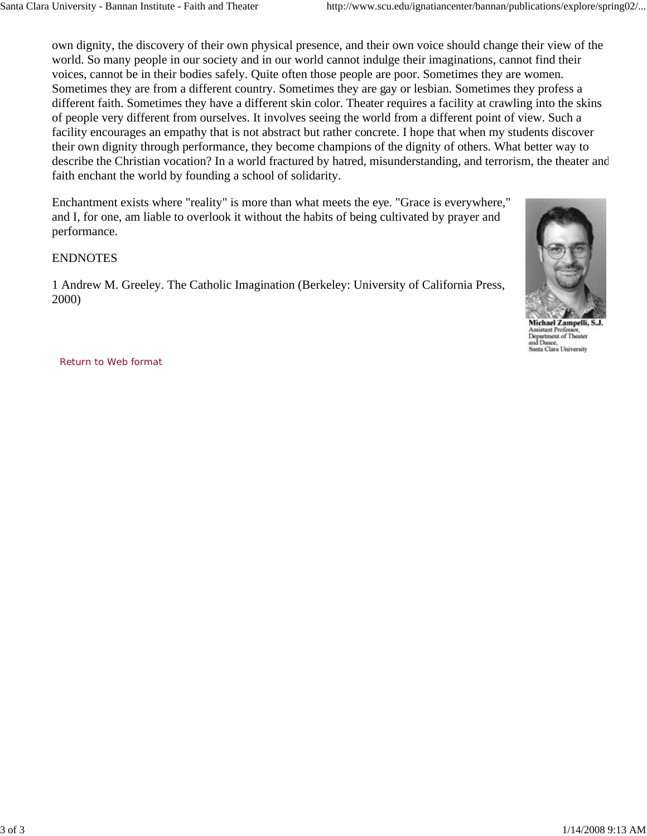own dignity, the discovery of their own physical presence, and their own voice should change their view of the world. So many people in our society and in our world cannot indulge their imaginations, cannot find their voices, cannot be in their bodies safely. Quite often those people are poor. Sometimes they are women. Sometimes they are from a different country. Sometimes they are gay or lesbian. Sometimes they profess a different faith. Sometimes they have a different skin color. Theater requires a facility at crawling into the skins of people very different from ourselves. It involves seeing the world from a different point of view. Such a facility encourages an empathy that is not abstract but rather concrete. I hope that when my students discover their own dignity through performance, they become champions of the dignity of others. What better way to describe the Christian vocation? In a world fractured by hatred, misunderstanding, and terrorism, the theater and faith enchant the world by founding a school of solidarity.

Enchantment exists where "reality" is more than what meets the eye. "Grace is everywhere," and I, for one, am liable to overlook it without the habits of being cultivated by prayer and performance.

ENDNOTES

1 Andrew M. Greeley. The Catholic Imagination (Berkeley: University of California Press, 2000)



Michael Zampelli, S.J. Assistant Professor,<br>Department of Theater<br>and Dance,<br>Santa Clara University

Return to Web format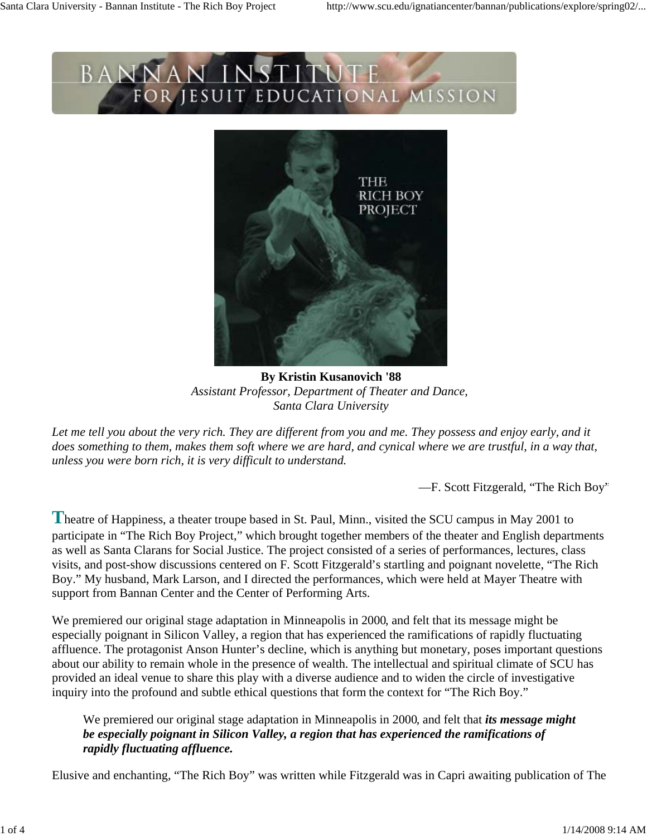

**By Kristin Kusanovich '88** *Assistant Professor, Department of Theater and Dance, Santa Clara University*

Let me tell you about the very rich. They are different from you and me. They possess and enjoy early, and it *does something to them, makes them soft where we are hard, and cynical where we are trustful, in a way that, unless you were born rich, it is very difficult to understand.*

—F. Scott Fitzgerald, "The Rich Boy"

**T**heatre of Happiness, a theater troupe based in St. Paul, Minn., visited the SCU campus in May 2001 to participate in "The Rich Boy Project," which brought together members of the theater and English departments as well as Santa Clarans for Social Justice. The project consisted of a series of performances, lectures, class visits, and post-show discussions centered on F. Scott Fitzgerald's startling and poignant novelette, "The Rich Boy." My husband, Mark Larson, and I directed the performances, which were held at Mayer Theatre with support from Bannan Center and the Center of Performing Arts.

We premiered our original stage adaptation in Minneapolis in 2000, and felt that its message might be especially poignant in Silicon Valley, a region that has experienced the ramifications of rapidly fluctuating affluence. The protagonist Anson Hunter's decline, which is anything but monetary, poses important questions about our ability to remain whole in the presence of wealth. The intellectual and spiritual climate of SCU has provided an ideal venue to share this play with a diverse audience and to widen the circle of investigative inquiry into the profound and subtle ethical questions that form the context for "The Rich Boy."

We premiered our original stage adaptation in Minneapolis in 2000, and felt that *its message might be especially poignant in Silicon Valley, a region that has experienced the ramifications of rapidly fluctuating affluence.*

Elusive and enchanting, "The Rich Boy" was written while Fitzgerald was in Capri awaiting publication of The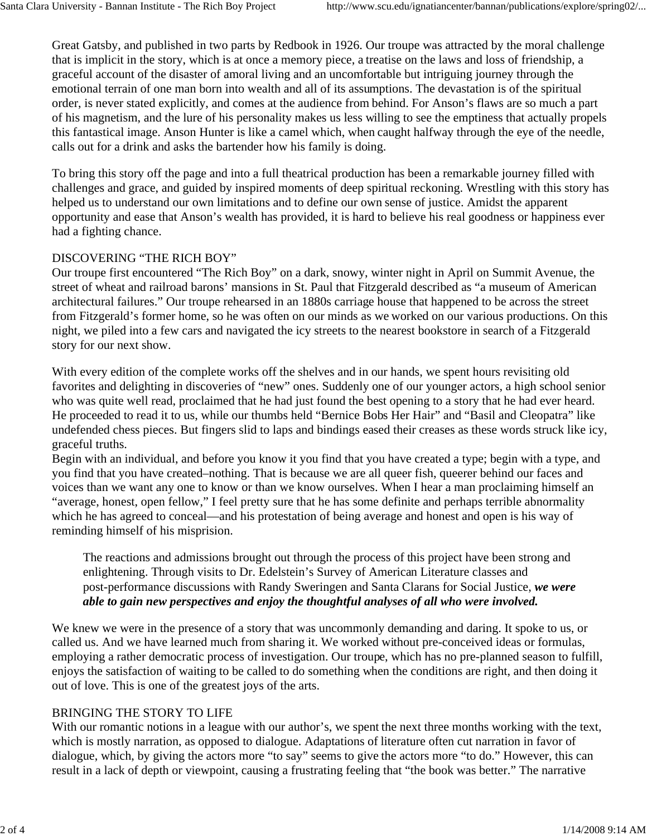Great Gatsby, and published in two parts by Redbook in 1926. Our troupe was attracted by the moral challenge that is implicit in the story, which is at once a memory piece, a treatise on the laws and loss of friendship, a graceful account of the disaster of amoral living and an uncomfortable but intriguing journey through the emotional terrain of one man born into wealth and all of its assumptions. The devastation is of the spiritual order, is never stated explicitly, and comes at the audience from behind. For Anson's flaws are so much a part of his magnetism, and the lure of his personality makes us less willing to see the emptiness that actually propels this fantastical image. Anson Hunter is like a camel which, when caught halfway through the eye of the needle, calls out for a drink and asks the bartender how his family is doing.

To bring this story off the page and into a full theatrical production has been a remarkable journey filled with challenges and grace, and guided by inspired moments of deep spiritual reckoning. Wrestling with this story has helped us to understand our own limitations and to define our own sense of justice. Amidst the apparent opportunity and ease that Anson's wealth has provided, it is hard to believe his real goodness or happiness ever had a fighting chance.

# DISCOVERING "THE RICH BOY"

Our troupe first encountered "The Rich Boy" on a dark, snowy, winter night in April on Summit Avenue, the street of wheat and railroad barons' mansions in St. Paul that Fitzgerald described as "a museum of American architectural failures." Our troupe rehearsed in an 1880s carriage house that happened to be across the street from Fitzgerald's former home, so he was often on our minds as we worked on our various productions. On this night, we piled into a few cars and navigated the icy streets to the nearest bookstore in search of a Fitzgerald story for our next show.

With every edition of the complete works off the shelves and in our hands, we spent hours revisiting old favorites and delighting in discoveries of "new" ones. Suddenly one of our younger actors, a high school senior who was quite well read, proclaimed that he had just found the best opening to a story that he had ever heard. He proceeded to read it to us, while our thumbs held "Bernice Bobs Her Hair" and "Basil and Cleopatra" like undefended chess pieces. But fingers slid to laps and bindings eased their creases as these words struck like icy, graceful truths.

Begin with an individual, and before you know it you find that you have created a type; begin with a type, and you find that you have created–nothing. That is because we are all queer fish, queerer behind our faces and voices than we want any one to know or than we know ourselves. When I hear a man proclaiming himself an "average, honest, open fellow," I feel pretty sure that he has some definite and perhaps terrible abnormality which he has agreed to conceal—and his protestation of being average and honest and open is his way of reminding himself of his misprision.

The reactions and admissions brought out through the process of this project have been strong and enlightening. Through visits to Dr. Edelstein's Survey of American Literature classes and post-performance discussions with Randy Sweringen and Santa Clarans for Social Justice, *we were able to gain new perspectives and enjoy the thoughtful analyses of all who were involved.*

We knew we were in the presence of a story that was uncommonly demanding and daring. It spoke to us, or called us. And we have learned much from sharing it. We worked without pre-conceived ideas or formulas, employing a rather democratic process of investigation. Our troupe, which has no pre-planned season to fulfill, enjoys the satisfaction of waiting to be called to do something when the conditions are right, and then doing it out of love. This is one of the greatest joys of the arts.

# BRINGING THE STORY TO LIFE

With our romantic notions in a league with our author's, we spent the next three months working with the text, which is mostly narration, as opposed to dialogue. Adaptations of literature often cut narration in favor of dialogue, which, by giving the actors more "to say" seems to give the actors more "to do." However, this can result in a lack of depth or viewpoint, causing a frustrating feeling that "the book was better." The narrative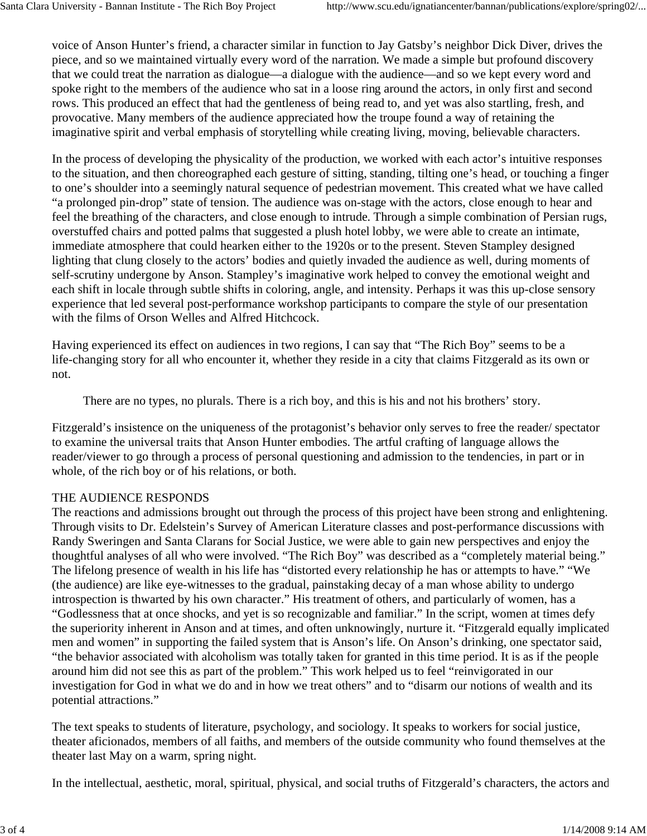voice of Anson Hunter's friend, a character similar in function to Jay Gatsby's neighbor Dick Diver, drives the piece, and so we maintained virtually every word of the narration. We made a simple but profound discovery that we could treat the narration as dialogue—a dialogue with the audience—and so we kept every word and spoke right to the members of the audience who sat in a loose ring around the actors, in only first and second rows. This produced an effect that had the gentleness of being read to, and yet was also startling, fresh, and provocative. Many members of the audience appreciated how the troupe found a way of retaining the imaginative spirit and verbal emphasis of storytelling while creating living, moving, believable characters.

In the process of developing the physicality of the production, we worked with each actor's intuitive responses to the situation, and then choreographed each gesture of sitting, standing, tilting one's head, or touching a finger to one's shoulder into a seemingly natural sequence of pedestrian movement. This created what we have called "a prolonged pin-drop" state of tension. The audience was on-stage with the actors, close enough to hear and feel the breathing of the characters, and close enough to intrude. Through a simple combination of Persian rugs, overstuffed chairs and potted palms that suggested a plush hotel lobby, we were able to create an intimate, immediate atmosphere that could hearken either to the 1920s or to the present. Steven Stampley designed lighting that clung closely to the actors' bodies and quietly invaded the audience as well, during moments of self-scrutiny undergone by Anson. Stampley's imaginative work helped to convey the emotional weight and each shift in locale through subtle shifts in coloring, angle, and intensity. Perhaps it was this up-close sensory experience that led several post-performance workshop participants to compare the style of our presentation with the films of Orson Welles and Alfred Hitchcock.

Having experienced its effect on audiences in two regions, I can say that "The Rich Boy" seems to be a life-changing story for all who encounter it, whether they reside in a city that claims Fitzgerald as its own or not.

There are no types, no plurals. There is a rich boy, and this is his and not his brothers' story.

Fitzgerald's insistence on the uniqueness of the protagonist's behavior only serves to free the reader/ spectator to examine the universal traits that Anson Hunter embodies. The artful crafting of language allows the reader/viewer to go through a process of personal questioning and admission to the tendencies, in part or in whole, of the rich boy or of his relations, or both.

#### THE AUDIENCE RESPONDS

The reactions and admissions brought out through the process of this project have been strong and enlightening. Through visits to Dr. Edelstein's Survey of American Literature classes and post-performance discussions with Randy Sweringen and Santa Clarans for Social Justice, we were able to gain new perspectives and enjoy the thoughtful analyses of all who were involved. "The Rich Boy" was described as a "completely material being." The lifelong presence of wealth in his life has "distorted every relationship he has or attempts to have." "We (the audience) are like eye-witnesses to the gradual, painstaking decay of a man whose ability to undergo introspection is thwarted by his own character." His treatment of others, and particularly of women, has a "Godlessness that at once shocks, and yet is so recognizable and familiar." In the script, women at times defy the superiority inherent in Anson and at times, and often unknowingly, nurture it. "Fitzgerald equally implicated men and women" in supporting the failed system that is Anson's life. On Anson's drinking, one spectator said, "the behavior associated with alcoholism was totally taken for granted in this time period. It is as if the people around him did not see this as part of the problem." This work helped us to feel "reinvigorated in our investigation for God in what we do and in how we treat others" and to "disarm our notions of wealth and its potential attractions."

The text speaks to students of literature, psychology, and sociology. It speaks to workers for social justice, theater aficionados, members of all faiths, and members of the outside community who found themselves at the theater last May on a warm, spring night.

In the intellectual, aesthetic, moral, spiritual, physical, and social truths of Fitzgerald's characters, the actors and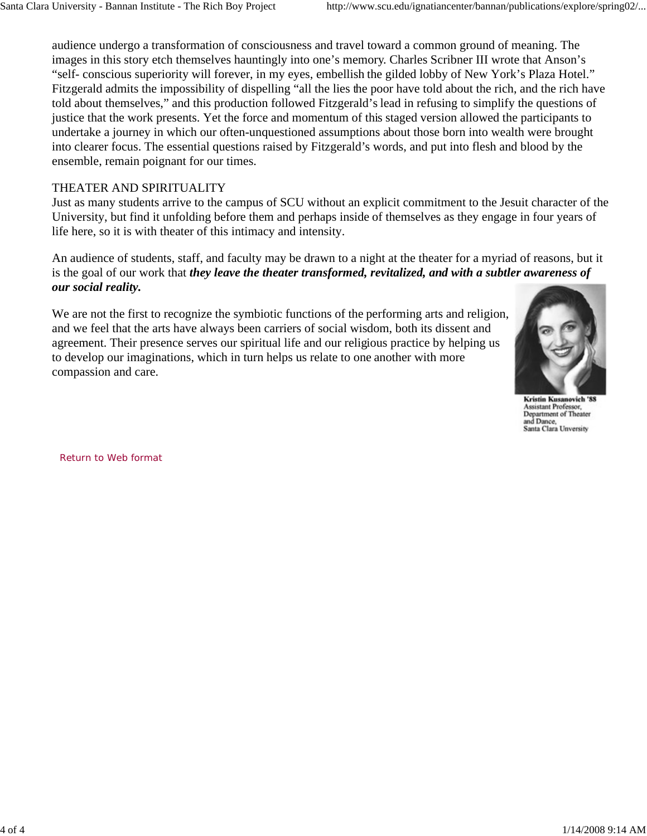audience undergo a transformation of consciousness and travel toward a common ground of meaning. The images in this story etch themselves hauntingly into one's memory. Charles Scribner III wrote that Anson's "self- conscious superiority will forever, in my eyes, embellish the gilded lobby of New York's Plaza Hotel." Fitzgerald admits the impossibility of dispelling "all the lies the poor have told about the rich, and the rich have told about themselves," and this production followed Fitzgerald's lead in refusing to simplify the questions of justice that the work presents. Yet the force and momentum of this staged version allowed the participants to undertake a journey in which our often-unquestioned assumptions about those born into wealth were brought into clearer focus. The essential questions raised by Fitzgerald's words, and put into flesh and blood by the ensemble, remain poignant for our times.

#### THEATER AND SPIRITUALITY

Just as many students arrive to the campus of SCU without an explicit commitment to the Jesuit character of the University, but find it unfolding before them and perhaps inside of themselves as they engage in four years of life here, so it is with theater of this intimacy and intensity.

An audience of students, staff, and faculty may be drawn to a night at the theater for a myriad of reasons, but it is the goal of our work that *they leave the theater transformed, revitalized, and with a subtler awareness of our social reality.* 

We are not the first to recognize the symbiotic functions of the performing arts and religion, and we feel that the arts have always been carriers of social wisdom, both its dissent and agreement. Their presence serves our spiritual life and our religious practice by helping us to develop our imaginations, which in turn helps us relate to one another with more compassion and care.



**Kristin Kusanovich** Assistant Professor, Department of Theater and Dance,<br>Santa Clara Unversity

Return to Web format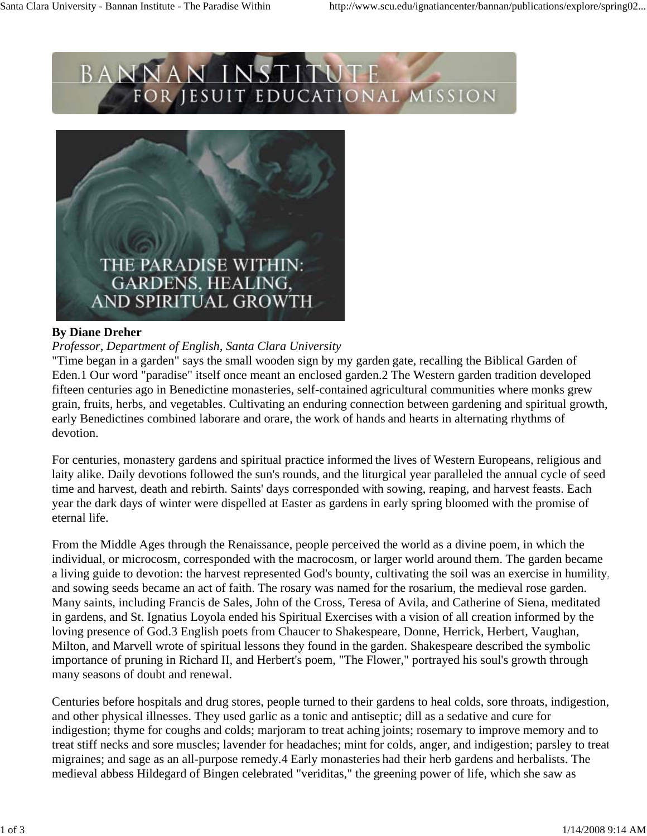

# **By Diane Dreher**

#### *Professor, Department of English, Santa Clara University*

"Time began in a garden" says the small wooden sign by my garden gate, recalling the Biblical Garden of Eden.1 Our word "paradise" itself once meant an enclosed garden.2 The Western garden tradition developed fifteen centuries ago in Benedictine monasteries, self-contained agricultural communities where monks grew grain, fruits, herbs, and vegetables. Cultivating an enduring connection between gardening and spiritual growth, early Benedictines combined laborare and orare, the work of hands and hearts in alternating rhythms of devotion.

For centuries, monastery gardens and spiritual practice informed the lives of Western Europeans, religious and laity alike. Daily devotions followed the sun's rounds, and the liturgical year paralleled the annual cycle of seed time and harvest, death and rebirth. Saints' days corresponded with sowing, reaping, and harvest feasts. Each year the dark days of winter were dispelled at Easter as gardens in early spring bloomed with the promise of eternal life.

From the Middle Ages through the Renaissance, people perceived the world as a divine poem, in which the individual, or microcosm, corresponded with the macrocosm, or larger world around them. The garden became a living guide to devotion: the harvest represented God's bounty, cultivating the soil was an exercise in humility, and sowing seeds became an act of faith. The rosary was named for the rosarium, the medieval rose garden. Many saints, including Francis de Sales, John of the Cross, Teresa of Avila, and Catherine of Siena, meditated in gardens, and St. Ignatius Loyola ended his Spiritual Exercises with a vision of all creation informed by the loving presence of God.3 English poets from Chaucer to Shakespeare, Donne, Herrick, Herbert, Vaughan, Milton, and Marvell wrote of spiritual lessons they found in the garden. Shakespeare described the symbolic importance of pruning in Richard II, and Herbert's poem, "The Flower," portrayed his soul's growth through many seasons of doubt and renewal.

Centuries before hospitals and drug stores, people turned to their gardens to heal colds, sore throats, indigestion, and other physical illnesses. They used garlic as a tonic and antiseptic; dill as a sedative and cure for indigestion; thyme for coughs and colds; marjoram to treat aching joints; rosemary to improve memory and to treat stiff necks and sore muscles; lavender for headaches; mint for colds, anger, and indigestion; parsley to treat migraines; and sage as an all-purpose remedy.4 Early monasteries had their herb gardens and herbalists. The medieval abbess Hildegard of Bingen celebrated "veriditas," the greening power of life, which she saw as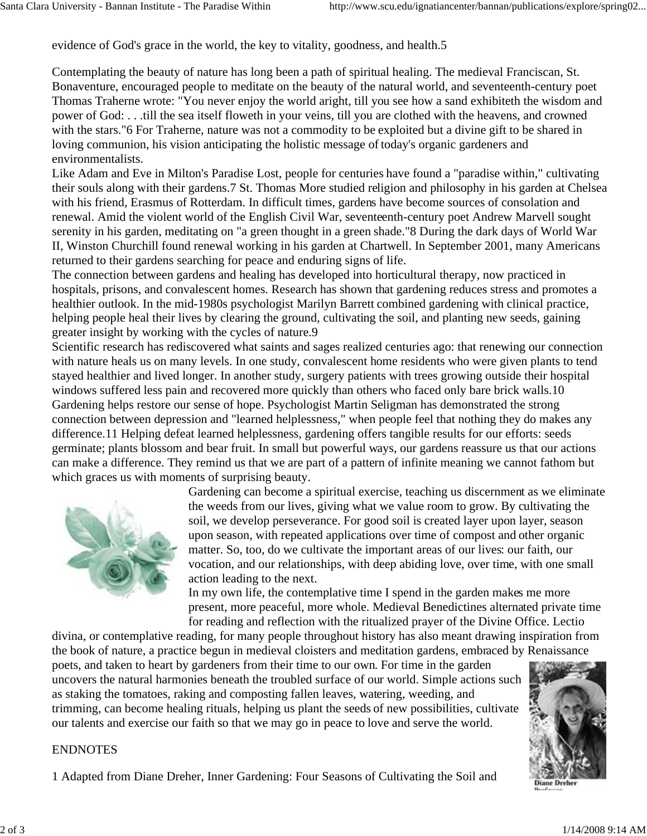evidence of God's grace in the world, the key to vitality, goodness, and health.5

Contemplating the beauty of nature has long been a path of spiritual healing. The medieval Franciscan, St. Bonaventure, encouraged people to meditate on the beauty of the natural world, and seventeenth-century poet Thomas Traherne wrote: "You never enjoy the world aright, till you see how a sand exhibiteth the wisdom and power of God: . . .till the sea itself floweth in your veins, till you are clothed with the heavens, and crowned with the stars."6 For Traherne, nature was not a commodity to be exploited but a divine gift to be shared in loving communion, his vision anticipating the holistic message of today's organic gardeners and environmentalists.

Like Adam and Eve in Milton's Paradise Lost, people for centuries have found a "paradise within," cultivating their souls along with their gardens.7 St. Thomas More studied religion and philosophy in his garden at Chelsea with his friend, Erasmus of Rotterdam. In difficult times, gardens have become sources of consolation and renewal. Amid the violent world of the English Civil War, seventeenth-century poet Andrew Marvell sought serenity in his garden, meditating on "a green thought in a green shade."8 During the dark days of World War II, Winston Churchill found renewal working in his garden at Chartwell. In September 2001, many Americans returned to their gardens searching for peace and enduring signs of life.

The connection between gardens and healing has developed into horticultural therapy, now practiced in hospitals, prisons, and convalescent homes. Research has shown that gardening reduces stress and promotes a healthier outlook. In the mid-1980s psychologist Marilyn Barrett combined gardening with clinical practice, helping people heal their lives by clearing the ground, cultivating the soil, and planting new seeds, gaining greater insight by working with the cycles of nature.9

Scientific research has rediscovered what saints and sages realized centuries ago: that renewing our connection with nature heals us on many levels. In one study, convalescent home residents who were given plants to tend stayed healthier and lived longer. In another study, surgery patients with trees growing outside their hospital windows suffered less pain and recovered more quickly than others who faced only bare brick walls.10 Gardening helps restore our sense of hope. Psychologist Martin Seligman has demonstrated the strong connection between depression and "learned helplessness," when people feel that nothing they do makes any difference.11 Helping defeat learned helplessness, gardening offers tangible results for our efforts: seeds germinate; plants blossom and bear fruit. In small but powerful ways, our gardens reassure us that our actions can make a difference. They remind us that we are part of a pattern of infinite meaning we cannot fathom but which graces us with moments of surprising beauty.



Gardening can become a spiritual exercise, teaching us discernment as we eliminate the weeds from our lives, giving what we value room to grow. By cultivating the soil, we develop perseverance. For good soil is created layer upon layer, season upon season, with repeated applications over time of compost and other organic matter. So, too, do we cultivate the important areas of our lives: our faith, our vocation, and our relationships, with deep abiding love, over time, with one small action leading to the next.

In my own life, the contemplative time I spend in the garden makes me more present, more peaceful, more whole. Medieval Benedictines alternated private time for reading and reflection with the ritualized prayer of the Divine Office. Lectio

divina, or contemplative reading, for many people throughout history has also meant drawing inspiration from the book of nature, a practice begun in medieval cloisters and meditation gardens, embraced by Renaissance poets, and taken to heart by gardeners from their time to our own. For time in the garden uncovers the natural harmonies beneath the troubled surface of our world. Simple actions such as staking the tomatoes, raking and composting fallen leaves, watering, weeding, and trimming, can become healing rituals, helping us plant the seeds of new possibilities, cultivate our talents and exercise our faith so that we may go in peace to love and serve the world.



#### ENDNOTES

1 Adapted from Diane Dreher, Inner Gardening: Four Seasons of Cultivating the Soil and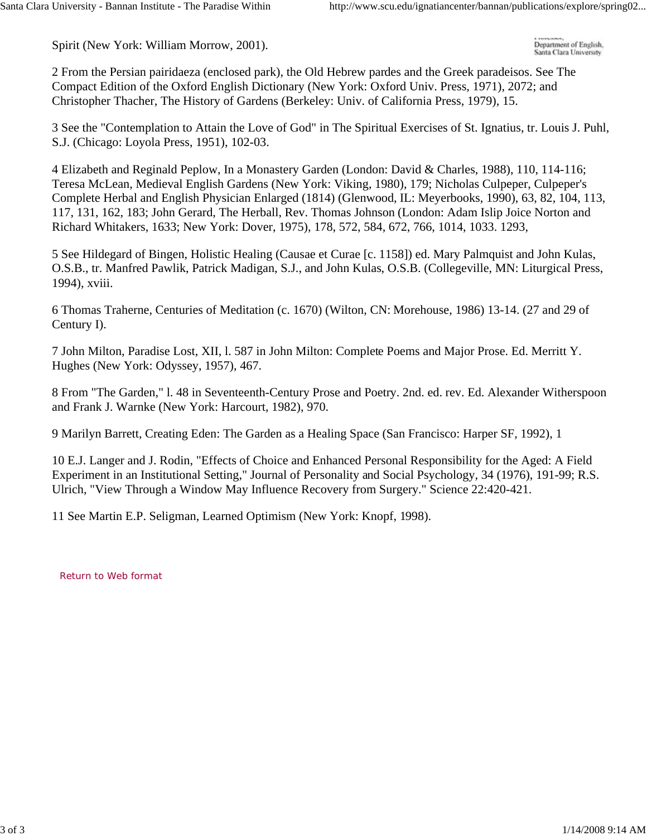Spirit (New York: William Morrow, 2001).

2 From the Persian pairidaeza (enclosed park), the Old Hebrew pardes and the Greek paradeisos. See The Compact Edition of the Oxford English Dictionary (New York: Oxford Univ. Press, 1971), 2072; and Christopher Thacher, The History of Gardens (Berkeley: Univ. of California Press, 1979), 15.

3 See the "Contemplation to Attain the Love of God" in The Spiritual Exercises of St. Ignatius, tr. Louis J. Puhl, S.J. (Chicago: Loyola Press, 1951), 102-03.

4 Elizabeth and Reginald Peplow, In a Monastery Garden (London: David & Charles, 1988), 110, 114-116; Teresa McLean, Medieval English Gardens (New York: Viking, 1980), 179; Nicholas Culpeper, Culpeper's Complete Herbal and English Physician Enlarged (1814) (Glenwood, IL: Meyerbooks, 1990), 63, 82, 104, 113, 117, 131, 162, 183; John Gerard, The Herball, Rev. Thomas Johnson (London: Adam Islip Joice Norton and Richard Whitakers, 1633; New York: Dover, 1975), 178, 572, 584, 672, 766, 1014, 1033. 1293,

5 See Hildegard of Bingen, Holistic Healing (Causae et Curae [c. 1158]) ed. Mary Palmquist and John Kulas, O.S.B., tr. Manfred Pawlik, Patrick Madigan, S.J., and John Kulas, O.S.B. (Collegeville, MN: Liturgical Press, 1994), xviii.

6 Thomas Traherne, Centuries of Meditation (c. 1670) (Wilton, CN: Morehouse, 1986) 13-14. (27 and 29 of Century I).

7 John Milton, Paradise Lost, XII, l. 587 in John Milton: Complete Poems and Major Prose. Ed. Merritt Y. Hughes (New York: Odyssey, 1957), 467.

8 From "The Garden," l. 48 in Seventeenth-Century Prose and Poetry. 2nd. ed. rev. Ed. Alexander Witherspoon and Frank J. Warnke (New York: Harcourt, 1982), 970.

9 Marilyn Barrett, Creating Eden: The Garden as a Healing Space (San Francisco: Harper SF, 1992), 1

10 E.J. Langer and J. Rodin, "Effects of Choice and Enhanced Personal Responsibility for the Aged: A Field Experiment in an Institutional Setting," Journal of Personality and Social Psychology, 34 (1976), 191-99; R.S. Ulrich, "View Through a Window May Influence Recovery from Surgery." Science 22:420-421.

11 See Martin E.P. Seligman, Learned Optimism (New York: Knopf, 1998).

Return to Web format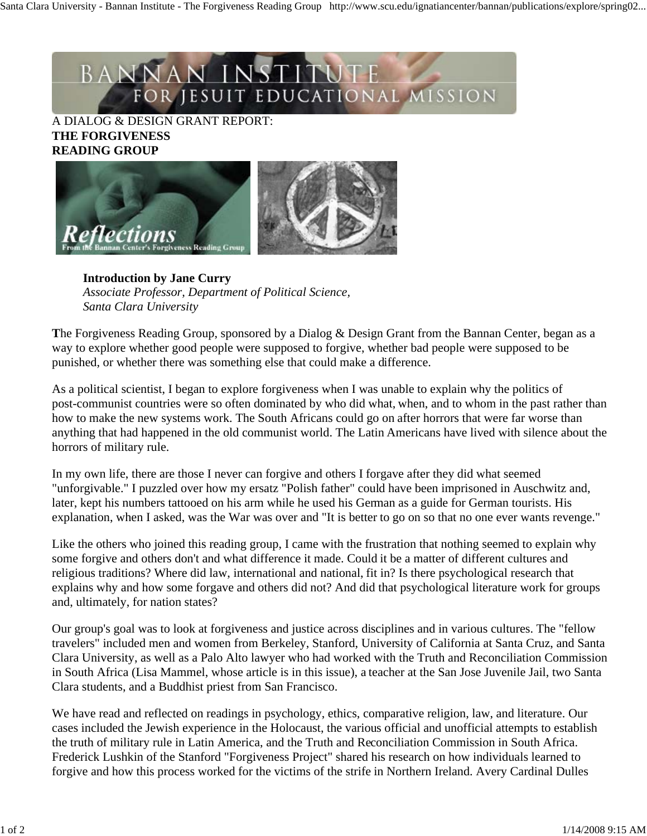# A DIALOG & DESIGN GRANT REPORT: **THE FORGIVENESS READING GROUP**



#### **Introduction by Jane Curry** *Associate Professor, Department of Political Science, Santa Clara University*

**T**he Forgiveness Reading Group, sponsored by a Dialog & Design Grant from the Bannan Center, began as a way to explore whether good people were supposed to forgive, whether bad people were supposed to be punished, or whether there was something else that could make a difference.

As a political scientist, I began to explore forgiveness when I was unable to explain why the politics of post-communist countries were so often dominated by who did what, when, and to whom in the past rather than how to make the new systems work. The South Africans could go on after horrors that were far worse than anything that had happened in the old communist world. The Latin Americans have lived with silence about the horrors of military rule.

In my own life, there are those I never can forgive and others I forgave after they did what seemed "unforgivable." I puzzled over how my ersatz "Polish father" could have been imprisoned in Auschwitz and, later, kept his numbers tattooed on his arm while he used his German as a guide for German tourists. His explanation, when I asked, was the War was over and "It is better to go on so that no one ever wants revenge."

Like the others who joined this reading group, I came with the frustration that nothing seemed to explain why some forgive and others don't and what difference it made. Could it be a matter of different cultures and religious traditions? Where did law, international and national, fit in? Is there psychological research that explains why and how some forgave and others did not? And did that psychological literature work for groups and, ultimately, for nation states?

Our group's goal was to look at forgiveness and justice across disciplines and in various cultures. The "fellow travelers" included men and women from Berkeley, Stanford, University of California at Santa Cruz, and Santa Clara University, as well as a Palo Alto lawyer who had worked with the Truth and Reconciliation Commission in South Africa (Lisa Mammel, whose article is in this issue), a teacher at the San Jose Juvenile Jail, two Santa Clara students, and a Buddhist priest from San Francisco.

We have read and reflected on readings in psychology, ethics, comparative religion, law, and literature. Our cases included the Jewish experience in the Holocaust, the various official and unofficial attempts to establish the truth of military rule in Latin America, and the Truth and Reconciliation Commission in South Africa. Frederick Lushkin of the Stanford "Forgiveness Project" shared his research on how individuals learned to forgive and how this process worked for the victims of the strife in Northern Ireland. Avery Cardinal Dulles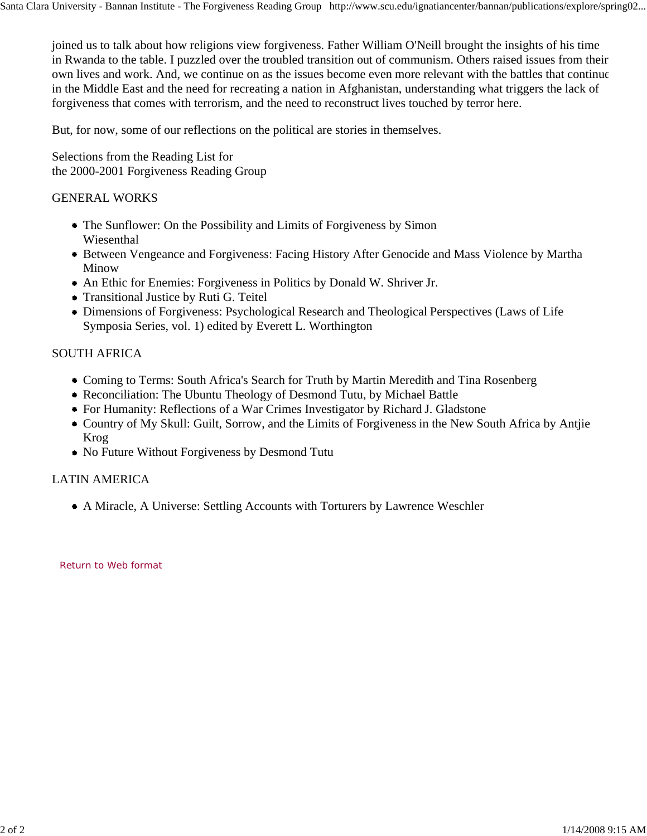joined us to talk about how religions view forgiveness. Father William O'Neill brought the insights of his time in Rwanda to the table. I puzzled over the troubled transition out of communism. Others raised issues from their own lives and work. And, we continue on as the issues become even more relevant with the battles that continue in the Middle East and the need for recreating a nation in Afghanistan, understanding what triggers the lack of forgiveness that comes with terrorism, and the need to reconstruct lives touched by terror here.

But, for now, some of our reflections on the political are stories in themselves.

Selections from the Reading List for the 2000-2001 Forgiveness Reading Group

# GENERAL WORKS

- The Sunflower: On the Possibility and Limits of Forgiveness by Simon Wiesenthal
- Between Vengeance and Forgiveness: Facing History After Genocide and Mass Violence by Martha Minow
- An Ethic for Enemies: Forgiveness in Politics by Donald W. Shriver Jr.
- Transitional Justice by Ruti G. Teitel
- Dimensions of Forgiveness: Psychological Research and Theological Perspectives (Laws of Life Symposia Series, vol. 1) edited by Everett L. Worthington

# SOUTH AFRICA

- Coming to Terms: South Africa's Search for Truth by Martin Meredith and Tina Rosenberg
- Reconciliation: The Ubuntu Theology of Desmond Tutu, by Michael Battle
- For Humanity: Reflections of a War Crimes Investigator by Richard J. Gladstone
- Country of My Skull: Guilt, Sorrow, and the Limits of Forgiveness in the New South Africa by Antjie Krog
- No Future Without Forgiveness by Desmond Tutu

# LATIN AMERICA

A Miracle, A Universe: Settling Accounts with Torturers by Lawrence Weschler

Return to Web format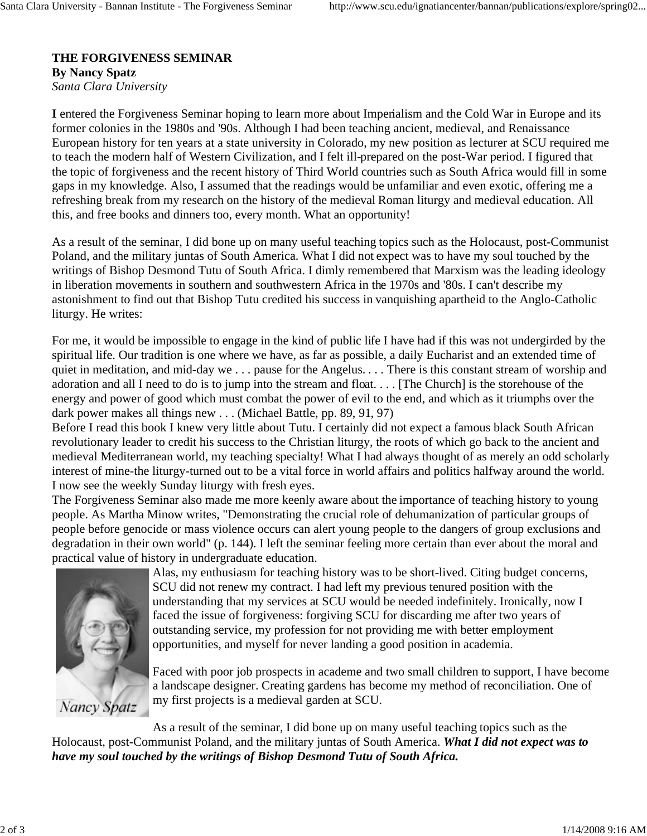#### **THE FORGIVENESS SEMINAR**

#### **By Nancy Spatz**

*Santa Clara University*

**I** entered the Forgiveness Seminar hoping to learn more about Imperialism and the Cold War in Europe and its former colonies in the 1980s and '90s. Although I had been teaching ancient, medieval, and Renaissance European history for ten years at a state university in Colorado, my new position as lecturer at SCU required me to teach the modern half of Western Civilization, and I felt ill-prepared on the post-War period. I figured that the topic of forgiveness and the recent history of Third World countries such as South Africa would fill in some gaps in my knowledge. Also, I assumed that the readings would be unfamiliar and even exotic, offering me a refreshing break from my research on the history of the medieval Roman liturgy and medieval education. All this, and free books and dinners too, every month. What an opportunity!

As a result of the seminar, I did bone up on many useful teaching topics such as the Holocaust, post-Communist Poland, and the military juntas of South America. What I did not expect was to have my soul touched by the writings of Bishop Desmond Tutu of South Africa. I dimly remembered that Marxism was the leading ideology in liberation movements in southern and southwestern Africa in the 1970s and '80s. I can't describe my astonishment to find out that Bishop Tutu credited his success in vanquishing apartheid to the Anglo-Catholic liturgy. He writes:

For me, it would be impossible to engage in the kind of public life I have had if this was not undergirded by the spiritual life. Our tradition is one where we have, as far as possible, a daily Eucharist and an extended time of quiet in meditation, and mid-day we . . . pause for the Angelus. . . . There is this constant stream of worship and adoration and all I need to do is to jump into the stream and float. . . . [The Church] is the storehouse of the energy and power of good which must combat the power of evil to the end, and which as it triumphs over the dark power makes all things new . . . (Michael Battle, pp. 89, 91, 97)

Before I read this book I knew very little about Tutu. I certainly did not expect a famous black South African revolutionary leader to credit his success to the Christian liturgy, the roots of which go back to the ancient and medieval Mediterranean world, my teaching specialty! What I had always thought of as merely an odd scholarly interest of mine-the liturgy-turned out to be a vital force in world affairs and politics halfway around the world. I now see the weekly Sunday liturgy with fresh eyes.

The Forgiveness Seminar also made me more keenly aware about the importance of teaching history to young people. As Martha Minow writes, "Demonstrating the crucial role of dehumanization of particular groups of people before genocide or mass violence occurs can alert young people to the dangers of group exclusions and degradation in their own world" (p. 144). I left the seminar feeling more certain than ever about the moral and practical value of history in undergraduate education.



Nancy Spatz

Alas, my enthusiasm for teaching history was to be short-lived. Citing budget concerns, SCU did not renew my contract. I had left my previous tenured position with the understanding that my services at SCU would be needed indefinitely. Ironically, now I faced the issue of forgiveness: forgiving SCU for discarding me after two years of outstanding service, my profession for not providing me with better employment opportunities, and myself for never landing a good position in academia.

Faced with poor job prospects in academe and two small children to support, I have become a landscape designer. Creating gardens has become my method of reconciliation. One of my first projects is a medieval garden at SCU.

As a result of the seminar, I did bone up on many useful teaching topics such as the Holocaust, post-Communist Poland, and the military juntas of South America. *What I did not expect was to have my soul touched by the writings of Bishop Desmond Tutu of South Africa.*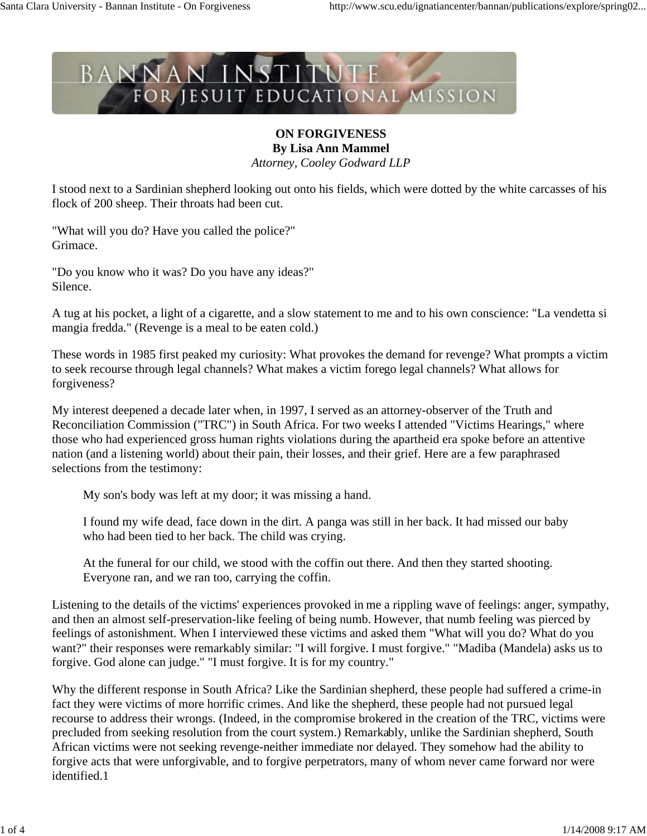# **ON FORGIVENESS By Lisa Ann Mammel**

*Attorney, Cooley Godward LLP*

I stood next to a Sardinian shepherd looking out onto his fields, which were dotted by the white carcasses of his flock of 200 sheep. Their throats had been cut.

"What will you do? Have you called the police?" Grimace.

"Do you know who it was? Do you have any ideas?" Silence.

A tug at his pocket, a light of a cigarette, and a slow statement to me and to his own conscience: "La vendetta si mangia fredda." (Revenge is a meal to be eaten cold.)

These words in 1985 first peaked my curiosity: What provokes the demand for revenge? What prompts a victim to seek recourse through legal channels? What makes a victim forego legal channels? What allows for forgiveness?

My interest deepened a decade later when, in 1997, I served as an attorney-observer of the Truth and Reconciliation Commission ("TRC") in South Africa. For two weeks I attended "Victims Hearings," where those who had experienced gross human rights violations during the apartheid era spoke before an attentive nation (and a listening world) about their pain, their losses, and their grief. Here are a few paraphrased selections from the testimony:

My son's body was left at my door; it was missing a hand.

I found my wife dead, face down in the dirt. A panga was still in her back. It had missed our baby who had been tied to her back. The child was crying.

At the funeral for our child, we stood with the coffin out there. And then they started shooting. Everyone ran, and we ran too, carrying the coffin.

Listening to the details of the victims' experiences provoked in me a rippling wave of feelings: anger, sympathy, and then an almost self-preservation-like feeling of being numb. However, that numb feeling was pierced by feelings of astonishment. When I interviewed these victims and asked them "What will you do? What do you want?" their responses were remarkably similar: "I will forgive. I must forgive." "Madiba (Mandela) asks us to forgive. God alone can judge." "I must forgive. It is for my country."

Why the different response in South Africa? Like the Sardinian shepherd, these people had suffered a crime-in fact they were victims of more horrific crimes. And like the shepherd, these people had not pursued legal recourse to address their wrongs. (Indeed, in the compromise brokered in the creation of the TRC, victims were precluded from seeking resolution from the court system.) Remarkably, unlike the Sardinian shepherd, South African victims were not seeking revenge-neither immediate nor delayed. They somehow had the ability to forgive acts that were unforgivable, and to forgive perpetrators, many of whom never came forward nor were identified.1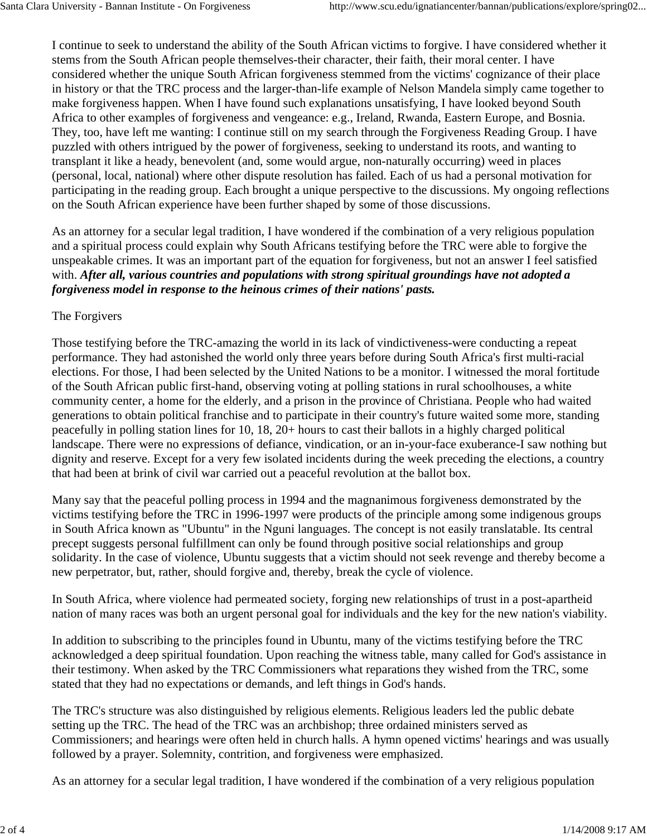I continue to seek to understand the ability of the South African victims to forgive. I have considered whether it stems from the South African people themselves-their character, their faith, their moral center. I have considered whether the unique South African forgiveness stemmed from the victims' cognizance of their place in history or that the TRC process and the larger-than-life example of Nelson Mandela simply came together to make forgiveness happen. When I have found such explanations unsatisfying, I have looked beyond South Africa to other examples of forgiveness and vengeance: e.g., Ireland, Rwanda, Eastern Europe, and Bosnia. They, too, have left me wanting: I continue still on my search through the Forgiveness Reading Group. I have puzzled with others intrigued by the power of forgiveness, seeking to understand its roots, and wanting to transplant it like a heady, benevolent (and, some would argue, non-naturally occurring) weed in places (personal, local, national) where other dispute resolution has failed. Each of us had a personal motivation for participating in the reading group. Each brought a unique perspective to the discussions. My ongoing reflections on the South African experience have been further shaped by some of those discussions.

As an attorney for a secular legal tradition, I have wondered if the combination of a very religious population and a spiritual process could explain why South Africans testifying before the TRC were able to forgive the unspeakable crimes. It was an important part of the equation for forgiveness, but not an answer I feel satisfied with. *After all, various countries and populations with strong spiritual groundings have not adopted a forgiveness model in response to the heinous crimes of their nations' pasts.*

# The Forgivers

Those testifying before the TRC-amazing the world in its lack of vindictiveness-were conducting a repeat performance. They had astonished the world only three years before during South Africa's first multi-racial elections. For those, I had been selected by the United Nations to be a monitor. I witnessed the moral fortitude of the South African public first-hand, observing voting at polling stations in rural schoolhouses, a white community center, a home for the elderly, and a prison in the province of Christiana. People who had waited generations to obtain political franchise and to participate in their country's future waited some more, standing peacefully in polling station lines for 10, 18, 20+ hours to cast their ballots in a highly charged political landscape. There were no expressions of defiance, vindication, or an in-your-face exuberance-I saw nothing but dignity and reserve. Except for a very few isolated incidents during the week preceding the elections, a country that had been at brink of civil war carried out a peaceful revolution at the ballot box.

Many say that the peaceful polling process in 1994 and the magnanimous forgiveness demonstrated by the victims testifying before the TRC in 1996-1997 were products of the principle among some indigenous groups in South Africa known as "Ubuntu" in the Nguni languages. The concept is not easily translatable. Its central precept suggests personal fulfillment can only be found through positive social relationships and group solidarity. In the case of violence, Ubuntu suggests that a victim should not seek revenge and thereby become a new perpetrator, but, rather, should forgive and, thereby, break the cycle of violence.

In South Africa, where violence had permeated society, forging new relationships of trust in a post-apartheid nation of many races was both an urgent personal goal for individuals and the key for the new nation's viability.

In addition to subscribing to the principles found in Ubuntu, many of the victims testifying before the TRC acknowledged a deep spiritual foundation. Upon reaching the witness table, many called for God's assistance in their testimony. When asked by the TRC Commissioners what reparations they wished from the TRC, some stated that they had no expectations or demands, and left things in God's hands.

The TRC's structure was also distinguished by religious elements. Religious leaders led the public debate setting up the TRC. The head of the TRC was an archbishop; three ordained ministers served as Commissioners; and hearings were often held in church halls. A hymn opened victims' hearings and was usually followed by a prayer. Solemnity, contrition, and forgiveness were emphasized.

As an attorney for a secular legal tradition, I have wondered if the combination of a very religious population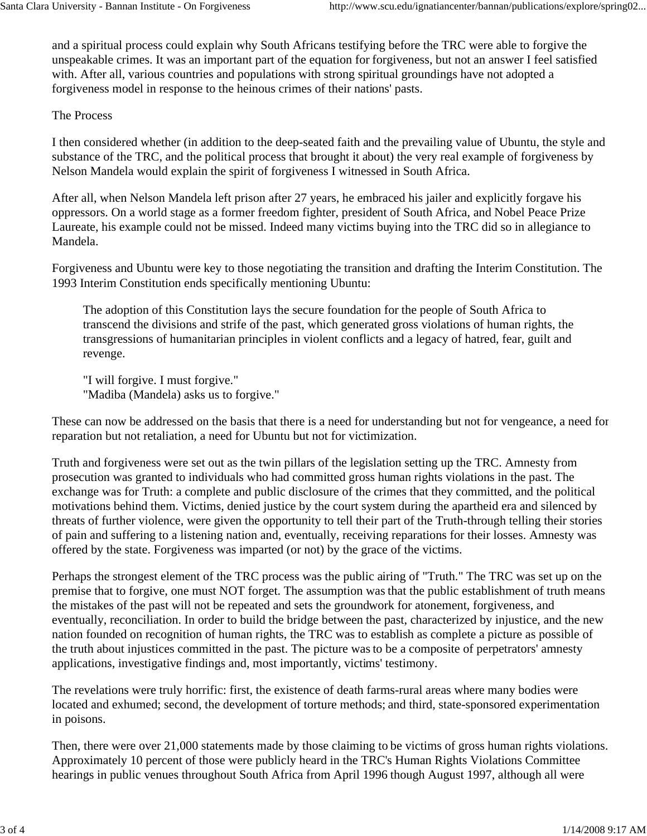and a spiritual process could explain why South Africans testifying before the TRC were able to forgive the unspeakable crimes. It was an important part of the equation for forgiveness, but not an answer I feel satisfied with. After all, various countries and populations with strong spiritual groundings have not adopted a forgiveness model in response to the heinous crimes of their nations' pasts.

# The Process

I then considered whether (in addition to the deep-seated faith and the prevailing value of Ubuntu, the style and substance of the TRC, and the political process that brought it about) the very real example of forgiveness by Nelson Mandela would explain the spirit of forgiveness I witnessed in South Africa.

After all, when Nelson Mandela left prison after 27 years, he embraced his jailer and explicitly forgave his oppressors. On a world stage as a former freedom fighter, president of South Africa, and Nobel Peace Prize Laureate, his example could not be missed. Indeed many victims buying into the TRC did so in allegiance to Mandela.

Forgiveness and Ubuntu were key to those negotiating the transition and drafting the Interim Constitution. The 1993 Interim Constitution ends specifically mentioning Ubuntu:

The adoption of this Constitution lays the secure foundation for the people of South Africa to transcend the divisions and strife of the past, which generated gross violations of human rights, the transgressions of humanitarian principles in violent conflicts and a legacy of hatred, fear, guilt and revenge.

"I will forgive. I must forgive." "Madiba (Mandela) asks us to forgive."

These can now be addressed on the basis that there is a need for understanding but not for vengeance, a need for reparation but not retaliation, a need for Ubuntu but not for victimization.

Truth and forgiveness were set out as the twin pillars of the legislation setting up the TRC. Amnesty from prosecution was granted to individuals who had committed gross human rights violations in the past. The exchange was for Truth: a complete and public disclosure of the crimes that they committed, and the political motivations behind them. Victims, denied justice by the court system during the apartheid era and silenced by threats of further violence, were given the opportunity to tell their part of the Truth-through telling their stories of pain and suffering to a listening nation and, eventually, receiving reparations for their losses. Amnesty was offered by the state. Forgiveness was imparted (or not) by the grace of the victims.

Perhaps the strongest element of the TRC process was the public airing of "Truth." The TRC was set up on the premise that to forgive, one must NOT forget. The assumption was that the public establishment of truth means the mistakes of the past will not be repeated and sets the groundwork for atonement, forgiveness, and eventually, reconciliation. In order to build the bridge between the past, characterized by injustice, and the new nation founded on recognition of human rights, the TRC was to establish as complete a picture as possible of the truth about injustices committed in the past. The picture was to be a composite of perpetrators' amnesty applications, investigative findings and, most importantly, victims' testimony.

The revelations were truly horrific: first, the existence of death farms-rural areas where many bodies were located and exhumed; second, the development of torture methods; and third, state-sponsored experimentation in poisons.

Then, there were over 21,000 statements made by those claiming to be victims of gross human rights violations. Approximately 10 percent of those were publicly heard in the TRC's Human Rights Violations Committee hearings in public venues throughout South Africa from April 1996 though August 1997, although all were